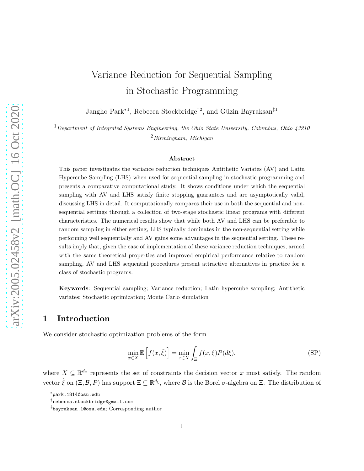# Variance Reduction for Sequential Sampling in Stochastic Programming

Jangho Park<sup>\*1</sup>, Rebecca Stockbridge<sup>†2</sup>, and Güzin Bayraksan<sup>‡1</sup>

<sup>1</sup>*Department of Integrated Systems Engineering, the Ohio State University, Columbus, Ohio 43210* <sup>2</sup>*Birmingham, Michigan*

#### Abstract

This paper investigates the variance reduction techniques Antithetic Variates (AV) and Latin Hypercube Sampling (LHS) when used for sequential sampling in stochastic programming and presents a comparative computational study. It shows conditions under which the sequential sampling with AV and LHS satisfy finite stopping guarantees and are asymptotically valid, discussing LHS in detail. It computationally compares their use in both the sequential and nonsequential settings through a collection of two-stage stochastic linear programs with different characteristics. The numerical results show that while both AV and LHS can be preferable to random sampling in either setting, LHS typically dominates in the non-sequential setting while performing well sequentially and AV gains some advantages in the sequential setting. These results imply that, given the ease of implementation of these variance reduction techniques, armed with the same theoretical properties and improved empirical performance relative to random sampling, AV and LHS sequential procedures present attractive alternatives in practice for a class of stochastic programs.

Keywords: Sequential sampling; Variance reduction; Latin hypercube sampling; Antithetic variates; Stochastic optimization; Monte Carlo simulation

# 1 Introduction

We consider stochastic optimization problems of the form

<span id="page-0-0"></span>
$$
\min_{x \in X} \mathbb{E}\left[f(x,\tilde{\xi})\right] = \min_{x \in X} \int_{\Xi} f(x,\xi)P(d\xi),\tag{SP}
$$

where  $X \subseteq \mathbb{R}^{d_x}$  represents the set of constraints the decision vector x must satisfy. The random vector  $\tilde{\xi}$  on  $(\Xi, \mathcal{B}, P)$  has support  $\Xi \subseteq \mathbb{R}^{d_{\xi}}$ , where  $\mathcal{B}$  is the Borel  $\sigma$ -algebra on  $\Xi$ . The distribution of

<sup>∗</sup> park.1814@osu.edu

 $^\dagger$ rebecca.stockbridge@gmail.com

<sup>‡</sup> bayraksan.1@osu.edu; Corresponding author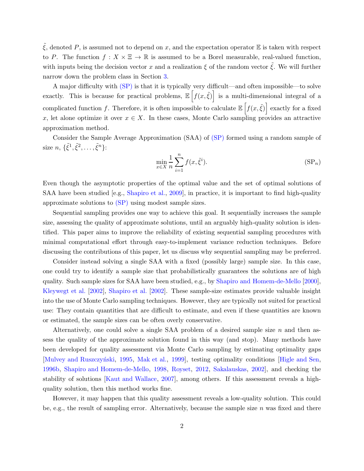$\zeta$ , denoted P, is assumed not to depend on x, and the expectation operator E is taken with respect to P. The function  $f: X \times \Xi \to \mathbb{R}$  is assumed to be a Borel measurable, real-valued function. with inputs being the decision vector x and a realization  $\xi$  of the random vector  $\tilde{\xi}$ . We will further narrow down the problem class in Section [3.](#page-7-0)

A major difficulty with [\(SP\)](#page-0-0) is that it is typically very difficult—and often impossible—to solve exactly. This is because for practical problems,  $\mathbb{E}\left[f(x,\tilde{\xi})\right]$  is a multi-dimensional integral of a complicated function f. Therefore, it is often impossible to calculate  $\mathbb{E}\left[f(x,\tilde{\xi})\right]$  exactly for a fixed x, let alone optimize it over  $x \in X$ . In these cases, Monte Carlo sampling provides an attractive approximation method.

Consider the Sample Average Approximation (SAA) of [\(SP\)](#page-0-0) formed using a random sample of size  $n, \{\tilde{\xi}^1, \tilde{\xi}^2, \dots, \tilde{\xi}^n\}$ :

<span id="page-1-0"></span>
$$
\min_{x \in X} \frac{1}{n} \sum_{i=1}^{n} f(x, \tilde{\xi}^i). \tag{SPn}
$$

Even though the asymptotic properties of the optimal value and the set of optimal solutions of SAA have been studied [e.g., [Shapiro et al.](#page-36-0), [2009](#page-36-0)], in practice, it is important to find high-quality approximate solutions to [\(SP\)](#page-0-0) using modest sample sizes.

Sequential sampling provides one way to achieve this goal. It sequentially increases the sample size, assessing the quality of approximate solutions, until an arguably high-quality solution is identified. This paper aims to improve the reliability of existing sequential sampling procedures with minimal computational effort through easy-to-implement variance reduction techniques. Before discussing the contributions of this paper, let us discuss why sequential sampling may be preferred.

Consider instead solving a single SAA with a fixed (possibly large) sample size. In this case, one could try to identify a sample size that probabilistically guarantees the solutions are of high quality. Such sample sizes for SAA have been studied, e.g., by [Shapiro and Homem-de-Mello](#page-36-1) [\[2000\]](#page-36-1), [Kleywegt et al.](#page-35-0) [\[2002\]](#page-35-0), [Shapiro et al.](#page-36-2) [\[2002](#page-36-2)]. These sample-size estimates provide valuable insight into the use of Monte Carlo sampling techniques. However, they are typically not suited for practical use: They contain quantities that are difficult to estimate, and even if these quantities are known or estimated, the sample sizes can be often overly conservative.

Alternatively, one could solve a single SAA problem of a desired sample size  $n$  and then assess the quality of the approximate solution found in this way (and stop). Many methods have been developed for quality assessment via Monte Carlo sampling by estimating optimality gaps [Mulvey and Ruszczyński, [1995,](#page-35-1) [Mak et al.](#page-35-2), [1999](#page-35-2)], testing optimality conditions [\[Higle and Sen](#page-34-0), [1996b,](#page-34-0) [Shapiro and Homem-de-Mello](#page-36-3), [1998](#page-36-3), [Royset](#page-36-4), [2012](#page-36-4), [Sakalauskas](#page-36-5), [2002](#page-36-5)], and checking the stability of solutions [\[Kaut and Wallace](#page-34-1), [2007](#page-34-1)], among others. If this assessment reveals a highquality solution, then this method works fine.

However, it may happen that this quality assessment reveals a low-quality solution. This could be, e.g., the result of sampling error. Alternatively, because the sample size  $n$  was fixed and there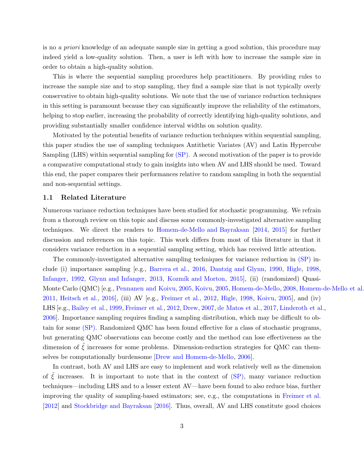is no *a priori* knowledge of an adequate sample size in getting a good solution, this procedure may indeed yield a low-quality solution. Then, a user is left with how to increase the sample size in order to obtain a high-quality solution.

This is where the sequential sampling procedures help practitioners. By providing rules to increase the sample size and to stop sampling, they find a sample size that is not typically overly conservative to obtain high-quality solutions. We note that the use of variance reduction techniques in this setting is paramount because they can significantly improve the reliability of the estimators, helping to stop earlier, increasing the probability of correctly identifying high-quality solutions, and providing substantially smaller confidence interval widths on solution quality.

Motivated by the potential benefits of variance reduction techniques within sequential sampling, this paper studies the use of sampling techniques Antithetic Variates (AV) and Latin Hypercube Sampling (LHS) within sequential sampling for [\(SP\).](#page-0-0) A second motivation of the paper is to provide a comparative computational study to gain insights into when AV and LHS should be used. Toward this end, the paper compares their performances relative to random sampling in both the sequential and non-sequential settings.

#### 1.1 Related Literature

Numerous variance reduction techniques have been studied for stochastic programming. We refrain from a thorough review on this topic and discuss some commonly-investigated alternative sampling techniques. We direct the readers to [Homem-de-Mello and Bayraksan](#page-34-2) [\[2014,](#page-34-2) [2015](#page-34-3)] for further discussion and references on this topic. This work differs from most of this literature in that it considers variance reduction in a sequential sampling setting, which has received little attention.

The commonly-investigated alternative sampling techniques for variance reduction in [\(SP\)](#page-0-0) include (i) importance sampling [e.g., [Barrera et al.,](#page-32-0) [2016](#page-32-0), [Dantzig and Glynn,](#page-33-0) [1990](#page-33-0), [Higle](#page-34-4), [1998](#page-34-4), [Infanger](#page-34-5), [1992](#page-34-5), [Glynn and Infanger](#page-34-6), [2013](#page-34-6), Kozmík and Morton, 2015, (ii) (randomized) Quasi-Monte Carlo (QMC) [e.g., [Pennanen and Koivu,](#page-35-4) [2005,](#page-35-4) [Koivu](#page-35-5), [2005](#page-35-5), [Homem-de-Mello](#page-34-7), [2008](#page-34-7), [Homem-de-Mello et al.,](#page-34-8) [2011,](#page-34-8) [Heitsch et al.](#page-34-9), [2016](#page-34-9)], (iii) AV [e.g., [Freimer et al.,](#page-34-10) [2012,](#page-34-10) [Higle](#page-34-4), [1998](#page-34-4), [Koivu,](#page-35-5) [2005](#page-35-5)], and (iv) LHS [e.g., [Bailey et al.](#page-32-1), [1999](#page-32-1), [Freimer et al.](#page-34-10), [2012](#page-34-10), [Drew](#page-33-1), [2007](#page-33-1), [de Matos et al.,](#page-33-2) [2017](#page-33-2), [Linderoth et al.](#page-35-6), [2006\]](#page-35-6). Importance sampling requires finding a sampling distribution, which may be difficult to obtain for some [\(SP\).](#page-0-0) Randomized QMC has been found effective for a class of stochastic programs, but generating QMC observations can become costly and the method can lose effectiveness as the dimension of  $\xi$  increases for some problems. Dimension-reduction strategies for QMC can themselves be computationally burdensome [\[Drew and Homem-de-Mello](#page-33-3), [2006\]](#page-33-3).

In contrast, both AV and LHS are easy to implement and work relatively well as the dimension of  $\xi$  increases. It is important to note that in the context of  $(SP)$ , many variance reduction techniques—including LHS and to a lesser extent AV—have been found to also reduce bias, further improving the quality of sampling-based estimators; see, e.g., the computations in [Freimer et al.](#page-34-10) [\[2012\]](#page-34-10) and [Stockbridge and Bayraksan](#page-36-6) [\[2016](#page-36-6)]. Thus, overall, AV and LHS constitute good choices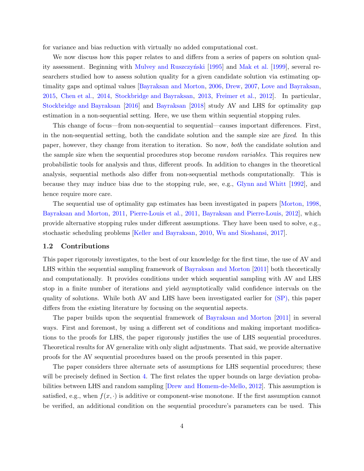for variance and bias reduction with virtually no added computational cost.

We now discuss how this paper relates to and differs from a series of papers on solution qual-ity assessment. Beginning with Mulvey and Ruszczyński [\[1995](#page-35-1)] and [Mak et al.](#page-35-2) [\[1999](#page-35-2)], several researchers studied how to assess solution quality for a given candidate solution via estimating optimality gaps and optimal values [\[Bayraksan and Morton,](#page-33-4) [2006](#page-33-4), [Drew](#page-33-1), [2007](#page-33-1), [Love and Bayraksan](#page-35-7), [2015,](#page-35-7) [Chen et al.](#page-33-5), [2014](#page-33-5), [Stockbridge and Bayraksan,](#page-36-7) [2013](#page-36-7), [Freimer et al.](#page-34-10), [2012](#page-34-10)]. In particular, [Stockbridge and Bayraksan](#page-36-6) [\[2016](#page-36-6)] and [Bayraksan](#page-33-6) [\[2018\]](#page-33-6) study AV and LHS for optimality gap estimation in a non-sequential setting. Here, we use them within sequential stopping rules.

This change of focus—from non-sequential to sequential—causes important differences. First, in the non-sequential setting, both the candidate solution and the sample size are *fixed*. In this paper, however, they change from iteration to iteration. So now, *both* the candidate solution and the sample size when the sequential procedures stop become *random variables*. This requires new probabilistic tools for analysis and thus, different proofs. In addition to changes in the theoretical analysis, sequential methods also differ from non-sequential methods computationally. This is because they may induce bias due to the stopping rule, see, e.g., [Glynn and Whitt](#page-34-11) [\[1992](#page-34-11)], and hence require more care.

The sequential use of optimality gap estimates has been investigated in papers [\[Morton](#page-35-8), [1998](#page-35-8), [Bayraksan and Morton](#page-33-7), [2011](#page-33-7), [Pierre-Louis et al.](#page-36-8), [2011](#page-36-8), [Bayraksan and Pierre-Louis](#page-33-8), [2012](#page-33-8)], which provide alternative stopping rules under different assumptions. They have been used to solve, e.g., stochastic scheduling problems [\[Keller and Bayraksan](#page-34-12), [2010](#page-34-12), [Wu and Sioshansi,](#page-36-9) [2017](#page-36-9)].

### 1.2 Contributions

This paper rigorously investigates, to the best of our knowledge for the first time, the use of AV and LHS within the sequential sampling framework of [Bayraksan and Morton](#page-33-7) [\[2011](#page-33-7)] both theoretically and computationally. It provides conditions under which sequential sampling with AV and LHS stop in a finite number of iterations and yield asymptotically valid confidence intervals on the quality of solutions. While both AV and LHS have been investigated earlier for [\(SP\),](#page-0-0) this paper differs from the existing literature by focusing on the sequential aspects.

The paper builds upon the sequential framework of [Bayraksan and Morton](#page-33-7) [\[2011](#page-33-7)] in several ways. First and foremost, by using a different set of conditions and making important modifications to the proofs for LHS, the paper rigorously justifies the use of LHS sequential procedures. Theoretical results for AV generalize with only slight adjustments. That said, we provide alternative proofs for the AV sequential procedures based on the proofs presented in this paper.

The paper considers three alternate sets of assumptions for LHS sequential procedures; these will be precisely defined in Section [4.](#page-11-0) The first relates the upper bounds on large deviation probabilities between LHS and random sampling [\[Drew and Homem-de-Mello](#page-33-9), [2012](#page-33-9)]. This assumption is satisfied, e.g., when  $f(x, \cdot)$  is additive or component-wise monotone. If the first assumption cannot be verified, an additional condition on the sequential procedure's parameters can be used. This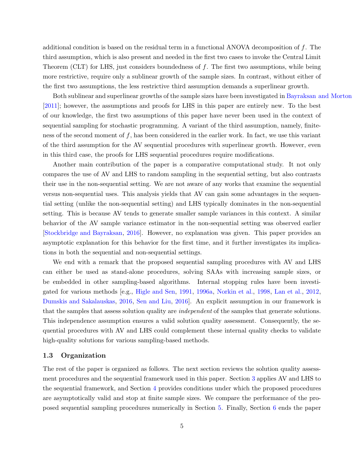additional condition is based on the residual term in a functional ANOVA decomposition of f. The third assumption, which is also present and needed in the first two cases to invoke the Central Limit Theorem (CLT) for LHS, just considers boundedness of  $f$ . The first two assumptions, while being more restrictive, require only a sublinear growth of the sample sizes. In contrast, without either of the first two assumptions, the less restrictive third assumption demands a superlinear growth.

Both sublinear and superlinear growths of the sample sizes have been investigated in [Bayraksan and Morton](#page-33-7) [\[2011\]](#page-33-7); however, the assumptions and proofs for LHS in this paper are entirely new. To the best of our knowledge, the first two assumptions of this paper have never been used in the context of sequential sampling for stochastic programming. A variant of the third assumption, namely, finiteness of the second moment of f, has been considered in the earlier work. In fact, we use this variant of the third assumption for the AV sequential procedures with superlinear growth. However, even in this third case, the proofs for LHS sequential procedures require modifications.

Another main contribution of the paper is a comparative computational study. It not only compares the use of AV and LHS to random sampling in the sequential setting, but also contrasts their use in the non-sequential setting. We are not aware of any works that examine the sequential versus non-sequential uses. This analysis yields that AV can gain some advantages in the sequential setting (unlike the non-sequential setting) and LHS typically dominates in the non-sequential setting. This is because AV tends to generate smaller sample variances in this context. A similar behavior of the AV sample variance estimator in the non-sequential setting was observed earlier [\[Stockbridge and Bayraksan,](#page-36-6) [2016](#page-36-6)]. However, no explanation was given. This paper provides an asymptotic explanation for this behavior for the first time, and it further investigates its implications in both the sequential and non-sequential settings.

We end with a remark that the proposed sequential sampling procedures with AV and LHS can either be used as stand-alone procedures, solving SAAs with increasing sample sizes, or be embedded in other sampling-based algorithms. Internal stopping rules have been investigated for various methods [e.g., [Higle and Sen,](#page-34-13) [1991](#page-34-13), [1996a,](#page-34-14) [Norkin et al.,](#page-35-9) [1998](#page-35-9), [Lan et al.,](#page-35-10) [2012](#page-35-10), [Dumskis and Sakalauskas,](#page-33-10) [2016](#page-33-10), [Sen and Liu,](#page-36-10) [2016](#page-36-10)]. An explicit assumption in our framework is that the samples that assess solution quality are *independent* of the samples that generate solutions. This independence assumption ensures a valid solution quality assessment. Consequently, the sequential procedures with AV and LHS could complement these internal quality checks to validate high-quality solutions for various sampling-based methods.

### 1.3 Organization

The rest of the paper is organized as follows. The next section reviews the solution quality assessment procedures and the sequential framework used in this paper. Section [3](#page-7-0) applies AV and LHS to the sequential framework, and Section [4](#page-11-0) provides conditions under which the proposed procedures are asymptotically valid and stop at finite sample sizes. We compare the performance of the proposed sequential sampling procedures numerically in Section [5.](#page-21-0) Finally, Section [6](#page-31-0) ends the paper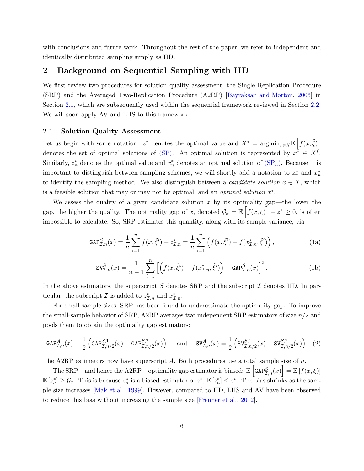with conclusions and future work. Throughout the rest of the paper, we refer to independent and identically distributed sampling simply as IID.

# 2 Background on Sequential Sampling with IID

We first review two procedures for solution quality assessment, the Single Replication Procedure (SRP) and the Averaged Two-Replication Procedure (A2RP) [\[Bayraksan and Morton,](#page-33-4) [2006\]](#page-33-4) in Section [2.1,](#page-5-0) which are subsequently used within the sequential framework reviewed in Section [2.2.](#page-6-0) We will soon apply AV and LHS to this framework.

#### <span id="page-5-0"></span>2.1 Solution Quality Assessment

Let us begin with some notation:  $z^*$  denotes the optimal value and  $X^* = \operatorname{argmin}_{x \in X} \mathbb{E} \left[ f(x, \tilde{\xi}) \right]$ denotes the set of optimal solutions of  $(SP)$ . An optimal solution is represented by  $x^* \in X^*$ . Similarly,  $z_n^*$  denotes the optimal value and  $x_n^*$  denotes an optimal solution of  $(SP_n)$  $(SP_n)$ . Because it is important to distinguish between sampling schemes, we will shortly add a notation to  $z_n^*$  and  $x_n^*$ to identify the sampling method. We also distinguish between a *candidate solution*  $x \in X$ , which is a feasible solution that may or may not be optimal, and an *optimal solution* x ∗ .

We assess the quality of a given candidate solution  $x$  by its optimality gap—the lower the gap, the higher the quality. The optimality gap of x, denoted  $\mathcal{G}_x = \mathbb{E}\left[f(x,\tilde{\xi})\right] - z^* \geq 0$ , is often impossible to calculate. So, SRP estimates this quantity, along with its sample variance, via

<span id="page-5-3"></span>
$$
GAP_{\mathcal{I},n}^{S}(x) = \frac{1}{n} \sum_{i=1}^{n} f(x, \tilde{\xi}^{i}) - z_{\mathcal{I},n}^{*} = \frac{1}{n} \sum_{i=1}^{n} \left( f(x, \tilde{\xi}^{i}) - f(x_{\mathcal{I},n}^{*}, \tilde{\xi}^{i}) \right),
$$
(1a)

<span id="page-5-4"></span><span id="page-5-1"></span>
$$
SV_{\mathcal{I},n}^{S}(x) = \frac{1}{n-1} \sum_{i=1}^{n} \left[ \left( f(x, \tilde{\xi}^{i}) - f(x_{\mathcal{I},n}^{*}, \tilde{\xi}^{i}) \right) - \text{GAP}_{\mathcal{I},n}^{S}(x) \right]^{2}.
$$
 (1b)

In the above estimators, the superscript  $S$  denotes SRP and the subscript  $\mathcal I$  denotes IID. In particular, the subscript  $\mathcal I$  is added to  $z_{\mathcal I,n}^*$  and  $x_{\mathcal I,n}^*$ .

For small sample sizes, SRP has been found to underestimate the optimality gap. To improve the small-sample behavior of SRP, A2RP averages two independent SRP estimators of size  $n/2$  and pools them to obtain the optimality gap estimators:

<span id="page-5-2"></span>
$$
GAP^A_{\mathcal{I},n}(x) = \frac{1}{2} \left( GAP^{S,1}_{\mathcal{I},n/2}(x) + GAP^{S,2}_{\mathcal{I},n/2}(x) \right) \quad \text{and} \quad S V^A_{\mathcal{I},n}(x) = \frac{1}{2} \left( S V^{S,1}_{\mathcal{I},n/2}(x) + S V^{S,2}_{\mathcal{I},n/2}(x) \right). \tag{2}
$$

The A2RP estimators now have superscript A. Both procedures use a total sample size of n.

The SRP—and hence the A2RP—optimality gap estimator is biased:  $\mathbb{E}\left[\texttt{GAP}_{\mathcal{I},n}^S(x)\right] = \mathbb{E}\left[f(x,\xi)\right]$ —  $\mathbb{E}[z_n^*] \geq \mathcal{G}_x$ . This is because  $z_n^*$  is a biased estimator of  $z^*$ ,  $\mathbb{E}[z_n^*] \leq z^*$ . The bias shrinks as the sample size increases [\[Mak et al.](#page-35-2), [1999](#page-35-2)]. However, compared to IID, LHS and AV have been observed to reduce this bias without increasing the sample size [\[Freimer et al.,](#page-34-10) [2012](#page-34-10)].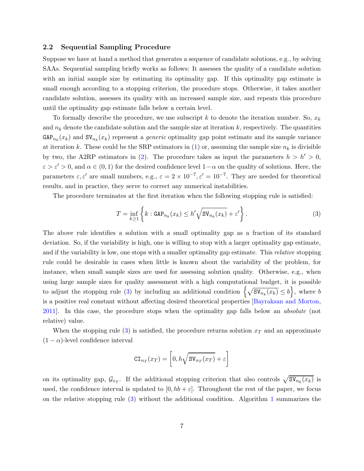### <span id="page-6-0"></span>2.2 Sequential Sampling Procedure

Suppose we have at hand a method that generates a sequence of candidate solutions, e.g., by solving SAAs. Sequential sampling briefly works as follows: It assesses the quality of a candidate solution with an initial sample size by estimating its optimality gap. If this optimality gap estimate is small enough according to a stopping criterion, the procedure stops. Otherwise, it takes another candidate solution, assesses its quality with an increased sample size, and repeats this procedure until the optimality gap estimate falls below a certain level.

To formally describe the procedure, we use subscript k to denote the iteration number. So,  $x_k$ and  $n_k$  denote the candidate solution and the sample size at iteration k, respectively. The quantities  $\texttt{GAP}_{n_k}(x_k)$  and  $\texttt{SV}_{n_k}(x_k)$  represent a *generic* optimality gap point estimate and its sample variance at iteration k. These could be the SRP estimators in [\(1\)](#page-5-1) or, assuming the sample size  $n_k$  is divisible by two, the A2RP estimators in [\(2\)](#page-5-2). The procedure takes as input the parameters  $h > h' > 0$ ,  $\varepsilon > \varepsilon' > 0$ , and  $\alpha \in (0, 1)$  for the desired confidence level  $1-\alpha$  on the quality of solutions. Here, the parameters  $\varepsilon, \varepsilon'$  are small numbers, e.g.,  $\varepsilon = 2 \times 10^{-7}, \varepsilon' = 10^{-7}$ . They are needed for theoretical results, and in practice, they serve to correct any numerical instabilities.

The procedure terminates at the first iteration when the following stopping rule is satisfied:

<span id="page-6-1"></span>
$$
T = \inf_{k \ge 1} \left\{ k : \text{GAP}_{n_k}(x_k) \le h' \sqrt{\text{SV}_{n_k}(x_k)} + \varepsilon' \right\}.
$$
 (3)

The above rule identifies a solution with a small optimality gap as a fraction of its standard deviation. So, if the variability is high, one is willing to stop with a larger optimality gap estimate, and if the variability is low, one stops with a smaller optimality gap estimate. This *relative* stopping rule could be desirable in cases when little is known about the variability of the problem, for instance, when small sample sizes are used for assessing solution quality. Otherwise, e.g., when using large sample sizes for quality assessment with a high computational budget, it is possible to adjust the stopping rule [\(3\)](#page-6-1) by including an additional condition  $\left\{\sqrt{SV_{n_k}(x_k)} \leq b\right\}$ , where b is a positive real constant without affecting desired theoretical properties [\[Bayraksan and Morton](#page-33-7), [2011\]](#page-33-7). In this case, the procedure stops when the optimality gap falls below an *absolute* (not relative) value.

When the stopping rule [\(3\)](#page-6-1) is satisfied, the procedure returns solution  $x<sub>T</sub>$  and an approximate  $(1 - \alpha)$ -level confidence interval

$$
\mathtt{CI}_{n_T}(x_T) = \left[0, h\sqrt{\mathtt{SV}_{n_T}(x_T)} + \varepsilon\right]
$$

on its optimality gap,  $\mathcal{G}_{x_T}$ . If the additional stopping criterion that also controls  $\sqrt{\text{SV}_{n_k}(x_k)}$  is used, the confidence interval is updated to  $[0, hb + \varepsilon]$ . Throughout the rest of the paper, we focus on the relative stopping rule [\(3\)](#page-6-1) without the additional condition. Algorithm [1](#page-7-1) summarizes the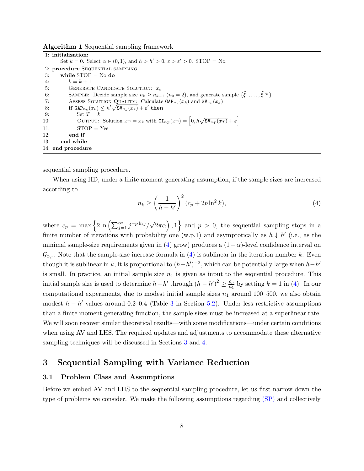#### <span id="page-7-1"></span>Algorithm 1 Sequential sampling framework

1: initialization: Set  $k = 0$ . Select  $\alpha \in (0, 1)$ , and  $h > h' > 0$ ,  $\varepsilon > \varepsilon' > 0$ . STOP = No. 2: procedure Sequential sampling 3: while  $STOP = No$  do 4:  $k = k + 1$ 5: GENERATE CANDIDATE SOLUTION:  $x_k$ 6: SAMPLE: Decide sample size  $n_k \ge n_{k-1}$   $(n_0 = 2)$ , and generate sample  $\{\tilde{\xi}^1, \ldots, \tilde{\xi}^{n_k}\}$ 7: ASSESS SOLUTION QUALITY: Calculate  $\text{GAP}_{n_k}(x_k)$  and  $\text{SV}_{n_k}(x_k)$ 8: if  $\texttt{GAP}_{n_k}(x_k) \leq h' \sqrt{\texttt{SV}_{n_k}(x_k)} + \varepsilon'$  then 9: Set  $T = k$ 10: OUTPUT: Solution  $x_T = x_k$  with  $\mathtt{CI}_{n_T}(x_T) = \left[0, h\sqrt{\mathtt{SV}_{n_T}(x_T)} + \varepsilon\right]$ 11:  $STOP = Yes$ 12: end if 13: end while 14: end procedure

sequential sampling procedure.

When using IID, under a finite moment generating assumption, if the sample sizes are increased according to

<span id="page-7-2"></span>
$$
n_k \ge \left(\frac{1}{h - h'}\right)^2 (c_p + 2p \ln^2 k),\tag{4}
$$

where  $c_p = \max\left\{2\ln\left(\sum_{j=1}^{\infty}j^{-p\ln j}/\sqrt{2\pi}\alpha\right), 1\right\}$  and  $p > 0$ , the sequential sampling stops in a finite number of iterations with probability one (w.p.1) and asymptotically as  $h \downarrow h'$  (i.e., as the minimal sample-size requirements given in [\(4\)](#page-7-2) grow) produces a  $(1-\alpha)$ -level confidence interval on  $\mathcal{G}_{x_T}$ . Note that the sample-size increase formula in [\(4\)](#page-7-2) is sublinear in the iteration number k. Even though it is sublinear in k, it is proportional to  $(h-h')^{-2}$ , which can be potentially large when  $h-h'$ is small. In practice, an initial sample size  $n_1$  is given as input to the sequential procedure. This initial sample size is used to determine  $h - h'$  through  $(h - h')^2 \ge \frac{c_p}{n_1}$  $\frac{c_p}{n_1}$  by setting  $k = 1$  in [\(4\)](#page-7-2). In our computational experiments, due to modest initial sample sizes  $n_1$  around 100–500, we also obtain modest  $h - h'$  values around 0.2–0.4 (Table [3](#page-23-0) in Section [5.2\)](#page-22-0). Under less restrictive assumptions than a finite moment generating function, the sample sizes must be increased at a superlinear rate. We will soon recover similar theoretical results—with some modifications—under certain conditions when using AV and LHS. The required updates and adjustments to accommodate these alternative sampling techniques will be discussed in Sections [3](#page-7-0) and [4.](#page-11-0)

# <span id="page-7-0"></span>3 Sequential Sampling with Variance Reduction

### 3.1 Problem Class and Assumptions

Before we embed AV and LHS to the sequential sampling procedure, let us first narrow down the type of problems we consider. We make the following assumptions regarding [\(SP\)](#page-0-0) and collectively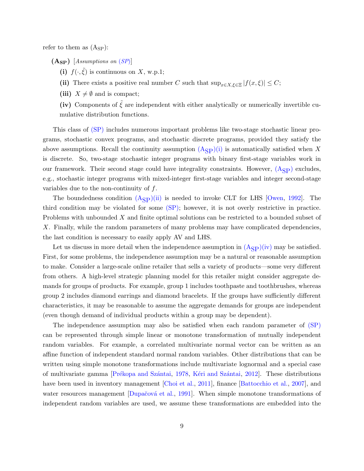refer to them as  $(A_{SP})$ :

- <span id="page-8-2"></span><span id="page-8-1"></span><span id="page-8-0"></span>(ASP) [*Assumptions on* (*[SP](#page-0-0)*)]
	- (i)  $f(\cdot, \tilde{\xi})$  is continuous on X, w.p.1;
	- (ii) There exists a positive real number C such that  $\sup_{x \in X, \xi \in \Xi} |f(x, \xi)| \leq C$ ;
	- (iii)  $X \neq \emptyset$  and is compact;

<span id="page-8-4"></span><span id="page-8-3"></span>(iv) Components of  $\tilde{\xi}$  are independent with either analytically or numerically invertible cumulative distribution functions.

This class of [\(SP\)](#page-0-0) includes numerous important problems like two-stage stochastic linear programs, stochastic convex programs, and stochastic discrete programs, provided they satisfy the above assumptions. Recall the continuity assumption  $(A_{\text{SP}})(i)$  $(A_{\text{SP}})(i)$  is automatically satisfied when X is discrete. So, two-stage stochastic integer programs with binary first-stage variables work in our framework. Their second stage could have integrality constraints. However,  $(A_{\rm SP})$  excludes, e.g., stochastic integer programs with mixed-integer first-stage variables and integer second-stage variables due to the non-continuity of  $f$ .

The boundedness condition  $(A_{\text{SP}})(ii)$  $(A_{\text{SP}})(ii)$  is needed to invoke CLT for LHS [\[Owen,](#page-35-11) [1992](#page-35-11)]. The third condition may be violated for some [\(SP\);](#page-0-0) however, it is not overly restrictive in practice. Problems with unbounded X and finite optimal solutions can be restricted to a bounded subset of X. Finally, while the random parameters of many problems may have complicated dependencies, the last condition is necessary to easily apply AV and LHS.

Let us discuss in more detail when the independence assumption in  $(A_{\rm SP})(iv)$  $(A_{\rm SP})(iv)$  may be satisfied. First, for some problems, the independence assumption may be a natural or reasonable assumption to make. Consider a large-scale online retailer that sells a variety of products—some very different from others. A high-level strategic planning model for this retailer might consider aggregate demands for groups of products. For example, group 1 includes toothpaste and toothbrushes, whereas group 2 includes diamond earrings and diamond bracelets. If the groups have sufficiently different characteristics, it may be reasonable to assume the aggregate demands for groups are independent (even though demand of individual products within a group may be dependent).

The independence assumption may also be satisfied when each random parameter of [\(SP\)](#page-0-0) can be represented through simple linear or monotone transformation of mutually independent random variables. For example, a correlated multivariate normal vector can be written as an affine function of independent standard normal random variables. Other distributions that can be written using simple monotone transformations include multivariate lognormal and a special case of multivariate gamma [Prékopa and Szántai, [1978](#page-36-11), Kéri and Szántai, [2012](#page-35-12)]. These distributions have been used in inventory management [\[Choi et al.](#page-33-11), [2011\]](#page-33-11), finance [\[Battocchio et al.](#page-33-12), [2007](#page-33-12)], and water resources management [Dupačová et al., [1991](#page-33-13)]. When simple monotone transformations of independent random variables are used, we assume these transformations are embedded into the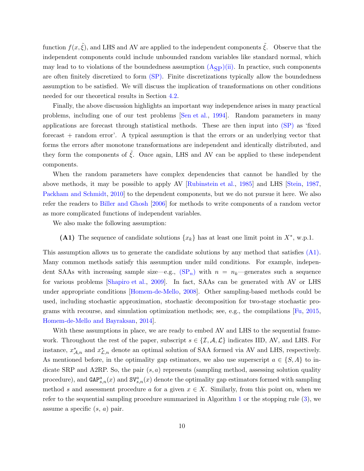function  $f(x, \tilde{\xi})$ , and LHS and AV are applied to the independent components  $\tilde{\xi}$ . Observe that the independent components could include unbounded random variables like standard normal, which may lead to to violations of the boundedness assumption  $(A_{\text{SP}})(ii)$ . In practice, such components are often finitely discretized to form [\(SP\).](#page-0-0) Finite discretizations typically allow the boundedness assumption to be satisfied. We will discuss the implication of transformations on other conditions needed for our theoretical results in Section [4.2.](#page-14-0)

Finally, the above discussion highlights an important way independence arises in many practical problems, including one of our test problems [\[Sen et al.](#page-36-12), [1994](#page-36-12)]. Random parameters in many applications are forecast through statistical methods. These are then input into [\(SP\)](#page-0-0) as 'fixed forecast + random error'. A typical assumption is that the errors or an underlying vector that forms the errors after monotone transformations are independent and identically distributed, and they form the components of  $\tilde{\xi}$ . Once again, LHS and AV can be applied to these independent components.

When the random parameters have complex dependencies that cannot be handled by the above methods, it may be possible to apply AV [\[Rubinstein et al.,](#page-36-13) [1985](#page-36-13)] and LHS [\[Stein](#page-36-14), [1987](#page-36-14), [Packham and Schmidt](#page-35-13), [2010](#page-35-13)] to the dependent components, but we do not pursue it here. We also refer the readers to [Biller and Ghosh](#page-33-14) [\[2006](#page-33-14)] for methods to write components of a random vector as more complicated functions of independent variables.

We also make the following assumption:

<span id="page-9-0"></span>(A1) The sequence of candidate solutions  $\{x_k\}$  has at least one limit point in  $X^*$ , w.p.1.

This assumption allows us to generate the candidate solutions by any method that satisfies [\(A1\).](#page-9-0) Many common methods satisfy this assumption under mild conditions. For example, independent SAAs with increasing sample size—e.g.,  $(SP_n)$  $(SP_n)$  with  $n = n_k$ —generates such a sequence for various problems [\[Shapiro et al.](#page-36-0), [2009\]](#page-36-0). In fact, SAAs can be generated with AV or LHS under appropriate conditions [\[Homem-de-Mello,](#page-34-7) [2008](#page-34-7)]. Other sampling-based methods could be used, including stochastic approximation, stochastic decomposition for two-stage stochastic programs with recourse, and simulation optimization methods; see, e.g., the compilations [\[Fu,](#page-34-15) [2015](#page-34-15), [Homem-de-Mello and Bayraksan](#page-34-2), [2014](#page-34-2)].

With these assumptions in place, we are ready to embed AV and LHS to the sequential framework. Throughout the rest of the paper, subscript  $s \in \{\mathcal{I}, \mathcal{A}, \mathcal{L}\}\$  indicates IID, AV, and LHS. For instance,  $x^*_{A,n}$  and  $x^*_{\mathcal{L},n}$  denote an optimal solution of SAA formed via AV and LHS, respectively. As mentioned before, in the optimality gap estimators, we also use superscript  $a \in \{S, A\}$  to indicate SRP and A2RP. So, the pair  $(s, a)$  represents (sampling method, assessing solution quality procedure), and  $\text{GAP}_{s,n}^a(x)$  and  $\text{SV}_{s,n}^a(x)$  denote the optimality gap estimators formed with sampling method s and assessment procedure a for a given  $x \in X$ . Similarly, from this point on, when we refer to the sequential sampling procedure summarized in Algorithm [1](#page-7-1) or the stopping rule [\(3\)](#page-6-1), we assume a specific  $(s, a)$  pair.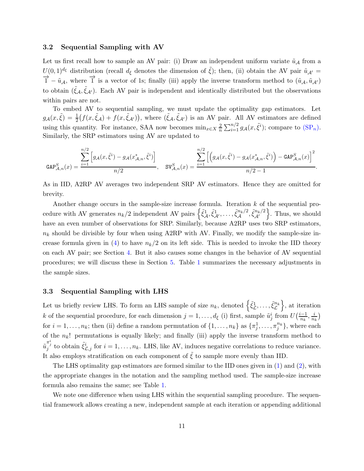### <span id="page-10-0"></span>3.2 Sequential Sampling with AV

Let us first recall how to sample an AV pair: (i) Draw an independent uniform variate  $\tilde{u}_A$  from a  $U(0, 1)^{d_{\xi}}$  distribution (recall  $d_{\xi}$  denotes the dimension of  $\tilde{\xi}$ ); then, (ii) obtain the AV pair  $\tilde{u}_{\mathcal{A}'} =$  $\overrightarrow{1} - \tilde{u}_A$ , where  $\overrightarrow{1}$  is a vector of 1s; finally (iii) apply the inverse transform method to  $(\tilde{u}_A, \tilde{u}_{A'})$ to obtain  $(\tilde{\xi}_{\mathcal{A}}, \tilde{\xi}_{\mathcal{A'}})$ . Each AV pair is independent and identically distributed but the observations within pairs are not.

To embed AV to sequential sampling, we must update the optimality gap estimators. Let  $g_{\mathcal{A}}(x,\tilde{\xi}) = \frac{1}{2}(f(x,\tilde{\xi}_{\mathcal{A}}) + f(x,\tilde{\xi}_{\mathcal{A}'}))$ , where  $(\tilde{\xi}_{\mathcal{A}},\tilde{\xi}_{\mathcal{A}'})$  is an AV pair. All AV estimators are defined using this quantity. For instance, SAA now becomes  $\min_{x \in X} \frac{2}{n}$  $\frac{2}{n} \sum_{i=1}^{n/2} g_{\mathcal{A}}(x, \tilde{\xi}^i);$  compare to  $(\text{SP}_n)$ . Similarly, the SRP estimators using AV are updated to

$$
\text{GAP}^S_{\mathcal{A},n}(x) = \frac{\displaystyle\sum_{i=1}^{n/2} \Big[ g_{\mathcal{A}}(x,\tilde{\xi}^i) - g_{\mathcal{A}}(x^*_{\mathcal{A},n},\tilde{\xi}^i) \Big]}{n/2}, \quad \text{SV}^S_{\mathcal{A},n}(x) = \frac{\displaystyle\sum_{i=1}^{n/2} \Big[ \Big( g_{\mathcal{A}}(x,\tilde{\xi}^i) - g_{\mathcal{A}}(x^*_{\mathcal{A},n},\tilde{\xi}^i) \Big) - \text{GAP}^S_{\mathcal{A},n}(x) \Big]^2}{n/2 - 1}.
$$

As in IID, A2RP AV averages two independent SRP AV estimators. Hence they are omitted for brevity.

Another change occurs in the sample-size increase formula. Iteration  $k$  of the sequential procedure with AV generates  $n_k/2$  independent AV pairs  $\left\{ \tilde{\xi}_A^1, \tilde{\xi}_A^1, \ldots, \tilde{\xi}_A^{n_k/2} \right\}$  $\tilde{\xi}_{\mathcal{A}'}^{n_k/2}$  $\}$ . Thus, we should have an even number of observations for SRP. Similarly, because A2RP uses two SRP estimators,  $n_k$  should be divisible by four when using A2RP with AV. Finally, we modify the sample-size in-crease formula given in [\(4\)](#page-7-2) to have  $n_k/2$  on its left side. This is needed to invoke the IID theory on each AV pair; see Section [4.](#page-11-0) But it also causes some changes in the behavior of AV sequential procedures; we will discuss these in Section [5.](#page-21-0) Table [1](#page-11-1) summarizes the necessary adjustments in the sample sizes.

### 3.3 Sequential Sampling with LHS

Let us briefly review LHS. To form an LHS sample of size  $n_k$ , denoted  $\left\{ \tilde{\xi}_k^1 \right\}$  $\tilde{\xi}_{\mathcal{L}}^{n_k}, \ldots, \tilde{\xi}_{\mathcal{L}}^{n_k}$ L  $\}$ , at iteration k of the sequential procedure, for each dimension  $j = 1, \ldots, d_{\xi}$  (i) first, sample  $\tilde{u}_j^i$  from  $U(\frac{i-1}{n_k}, \frac{i}{n_k})$  $\frac{i}{n_k}\big)$ for  $i = 1, \ldots, n_k$ ; then (ii) define a random permutation of  $\{1, \ldots, n_k\}$  as  $\{\pi_j^1, \ldots, \pi_j^{n_k}\}$ , where each of the  $n_k!$  permutations is equally likely; and finally (iii) apply the inverse transform method to  $\tilde{u}_j^{\pi_j^i}$  to obtain  $\tilde{\xi}_{\mathcal{L},j}^i$  for  $i = 1, \ldots, n_k$ . LHS, like AV, induces negative correlations to reduce variance. It also employs stratification on each component of  $\tilde{\xi}$  to sample more evenly than IID.

The LHS optimality gap estimators are formed similar to the IID ones given in [\(1\)](#page-5-1) and [\(2\)](#page-5-2), with the appropriate changes in the notation and the sampling method used. The sample-size increase formula also remains the same; see Table [1.](#page-11-1)

We note one difference when using LHS within the sequential sampling procedure. The sequential framework allows creating a new, independent sample at each iteration or appending additional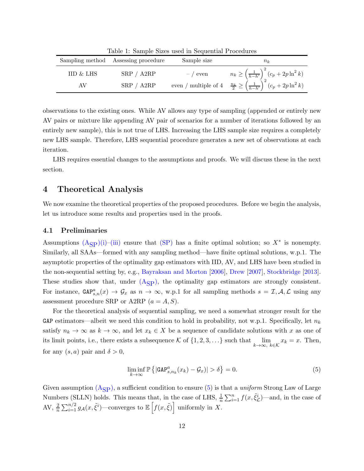| Table 1. Dailipic blzcs used in bequeintal I rocedures |                                     |             |                                                                                            |  |  |  |  |  |  |  |
|--------------------------------------------------------|-------------------------------------|-------------|--------------------------------------------------------------------------------------------|--|--|--|--|--|--|--|
|                                                        | Sampling method Assessing procedure | Sample size | $n_{k}$                                                                                    |  |  |  |  |  |  |  |
| IID & LHS                                              | SRP / A2RP                          | $-$ / even  | $n_k \geq \left(\frac{1}{h-h'}\right)^2 (c_p + 2p \ln^2 k)$                                |  |  |  |  |  |  |  |
| AV                                                     | SRP / A2RP                          |             | even / multiple of $4 \frac{n_k}{2} \geq \left(\frac{1}{h-h'}\right)^2 (c_p + 2p \ln^2 k)$ |  |  |  |  |  |  |  |

<span id="page-11-1"></span>Table 1: Sample Sizes used in Sequential Procedures

observations to the existing ones. While AV allows any type of sampling (appended or entirely new AV pairs or mixture like appending AV pair of scenarios for a number of iterations followed by an entirely new sample), this is not true of LHS. Increasing the LHS sample size requires a completely new LHS sample. Therefore, LHS sequential procedure generates a new set of observations at each iteration.

<span id="page-11-0"></span>LHS requires essential changes to the assumptions and proofs. We will discuss these in the next section.

# 4 Theoretical Analysis

We now examine the theoretical properties of the proposed procedures. Before we begin the analysis, let us introduce some results and properties used in the proofs.

### <span id="page-11-3"></span>4.1 Preliminaries

Assumptions  $(A_{\text{SP}})(i)$ -[\(iii\)](#page-8-4) ensure that  $(\text{SP})$  has a finite optimal solution; so  $X^*$  is nonempty. Similarly, all SAAs—formed with any sampling method—have finite optimal solutions, w.p.1. The asymptotic properties of the optimality gap estimators with IID, AV, and LHS have been studied in the non-sequential setting by, e.g., [Bayraksan and Morton](#page-33-4) [\[2006\]](#page-33-4), [Drew](#page-33-1) [\[2007](#page-33-1)], [Stockbridge](#page-36-15) [\[2013\]](#page-36-15). These studies show that, under  $(A_{\text{SP}})$ , the optimality gap estimators are strongly consistent. For instance,  $\text{GAP}_{s,n}^a(x) \to \mathcal{G}_x$  as  $n \to \infty$ , w.p.1 for all sampling methods  $s = \mathcal{I}, \mathcal{A}, \mathcal{L}$  using any assessment procedure SRP or A2RP  $(a = A, S)$ .

For the theoretical analysis of sequential sampling, we need a somewhat stronger result for the GAP estimators—albeit we need this condition to hold in probability, not w.p.1. Specifically, let  $n_k$ satisfy  $n_k \to \infty$  as  $k \to \infty$ , and let  $x_k \in X$  be a sequence of candidate solutions with x as one of its limit points, i.e., there exists a subsequence K of  $\{1, 2, 3, \ldots\}$  such that  $\lim_{k \to \infty, k \in \mathcal{K}}$  $x_k = x$ . Then, for any  $(s, a)$  pair and  $\delta > 0$ ,

<span id="page-11-2"></span>
$$
\liminf_{k \to \infty} \mathbb{P}\left\{ |\mathsf{GAP}_{s,n_k}^a(x_k) - \mathcal{G}_x)| > \delta \right\} = 0. \tag{5}
$$

Given assumption  $(A_{\text{SP}})$ , a sufficient condition to ensure [\(5\)](#page-11-2) is that a *uniform* Strong Law of Large Numbers (SLLN) holds. This means that, in the case of LHS,  $\frac{1}{n} \sum_{i=1}^{n} f(x, \tilde{\xi}_{k}^{i})$  $_{\mathcal{L}}^{i}$  –and, in the case of AV,  $\frac{2}{n} \sum_{i=1}^{n/2} g_{\mathcal{A}}(x, \tilde{\xi}^i)$  converges to  $\mathbb{E}\left[f(x, \tilde{\xi})\right]$  uniformly in X.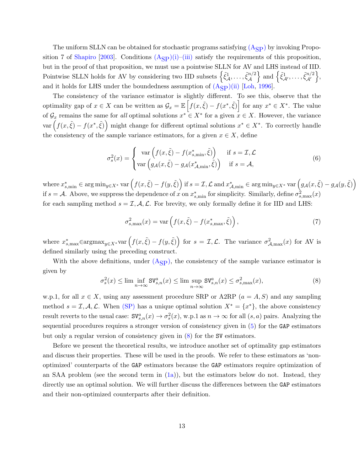The uniform SLLN can be obtained for stochastic programs satisfying  $(A_{\rm SP})$  by invoking Propo-sition 7 of [Shapiro](#page-36-16) [\[2003](#page-36-16)]. Conditions  $(A_{SP})(i)$  $(A_{SP})(i)$ [–\(iii\)](#page-8-4) satisfy the requirements of this proposition, but in the proof of that proposition, we must use a pointwise SLLN for AV and LHS instead of IID. Pointwise SLLN holds for AV by considering two IID subsets  $\left\{ \tilde{\xi}_\mathcal{A}^1, \ldots, \tilde{\xi}_\mathcal{A}^{n/2} \right\}$ A  $\Big\}$  and  $\Big\{ \tilde{\xi}^{1}_{\mathcal{A}'}, \ldots, \tilde{\xi}^{n/2}_{\mathcal{A}'} \Big\}$  $\}$ , and it holds for LHS under the boundedness assumption of  $(A_{\text{SP}})(ii)$  $(A_{\text{SP}})(ii)$  [\[Loh](#page-35-14), [1996](#page-35-14)].

The consistency of the variance estimator is slightly different. To see this, observe that the optimality gap of  $x \in X$  can be written as  $\mathcal{G}_x = \mathbb{E}\left[f(x,\tilde{\xi}) - f(x^*,\tilde{\xi})\right]$  for any  $x^* \in X^*$ . The value of  $\mathcal{G}_x$  remains the same for *all* optimal solutions  $x^* \in X^*$  for a given  $x \in X$ . However, the variance  $var\left(f(x,\tilde{\xi})-f(x^*,\tilde{\xi})\right)$  might change for different optimal solutions  $x^* \in X^*$ . To correctly handle the consistency of the sample variance estimators, for a given  $x \in X$ , define

<span id="page-12-1"></span>
$$
\sigma_s^2(x) = \begin{cases} \n\text{var}\left(f(x,\tilde{\xi}) - f(x_{s,\min}^*,\tilde{\xi})\right) & \text{if } s = \mathcal{I}, \mathcal{L} \\
\text{var}\left(g_{\mathcal{A}}(x,\tilde{\xi}) - g_{\mathcal{A}}(x_{\mathcal{A},\min}^*,\tilde{\xi})\right) & \text{if } s = \mathcal{A},\n\end{cases} \tag{6}
$$

 $\text{where } x^*_{s,\text{min}} \in \arg\min_{y \in X^*} \text{var}\left(f(x,\tilde{\xi}) - f(y,\tilde{\xi})\right) \text{ if } s = \mathcal{I}, \mathcal{L} \text{ and } x^*_{\mathcal{A},\text{min}} \in \arg\min_{y \in X^*} \text{var}\left(g_{\mathcal{A}}(x,\tilde{\xi}) - g_{\mathcal{A}}(y,\tilde{\xi})\right)$ if  $s = A$ . Above, we suppress the dependence of x on  $x_{s,\min}^*$  for simplicity. Similarly, define  $\sigma_{s,\max}^2(x)$ for each sampling method  $s = \mathcal{I}, \mathcal{A}, \mathcal{L}$ . For brevity, we only formally define it for IID and LHS:

<span id="page-12-2"></span>
$$
\sigma_{s,\max}^2(x) = \text{var}\left(f(x,\tilde{\xi}) - f(x_{s,\max}^*,\tilde{\xi})\right),\tag{7}
$$

where  $x^*_{s,\max} \in \text{argmax}_{y \in X^*} \text{var}\left(f(x,\tilde{\xi}) - f(y,\tilde{\xi})\right)$  for  $s = \mathcal{I}, \mathcal{L}$ . The variance  $\sigma^2_{\mathcal{A},\max}(x)$  for AV is defined similarly using the preceding construct.

With the above definitions, under  $(A_{\text{SP}})$ , the consistency of the sample variance estimator is given by

<span id="page-12-0"></span>
$$
\sigma_s^2(x) \le \liminf_{n \to \infty} \mathbf{SV}_{s,n}^a(x) \le \limsup_{n \to \infty} \mathbf{SV}_{s,n}^a(x) \le \sigma_{s,\max}^2(x),\tag{8}
$$

w.p.1, for all  $x \in X$ , using any assessment procedure SRP or A2RP  $(a = A, S)$  and any sampling method  $s = \mathcal{I}, \mathcal{A}, \mathcal{L}$ . When [\(SP\)](#page-0-0) has a unique optimal solution  $X^* = \{x^*\}$ , the above consistency result reverts to the usual case:  $\mathbf{S}V_{s,n}^a(x) \to \sigma_s^2(x)$ , w.p.1 as  $n \to \infty$  for all  $(s, a)$  pairs. Analyzing the sequential procedures requires a stronger version of consistency given in [\(5\)](#page-11-2) for the GAP estimators but only a regular version of consistency given in [\(8\)](#page-12-0) for the SV estimators.

Before we present the theoretical results, we introduce another set of optimality gap estimators and discuss their properties. These will be used in the proofs. We refer to these estimators as 'nonoptimized' counterparts of the GAP estimators because the GAP estimators require optimization of an SAA problem (see the second term in [\(1a\)](#page-5-3)), but the estimators below do not. Instead, they directly use an optimal solution. We will further discuss the differences between the GAP estimators and their non-optimized counterparts after their definition.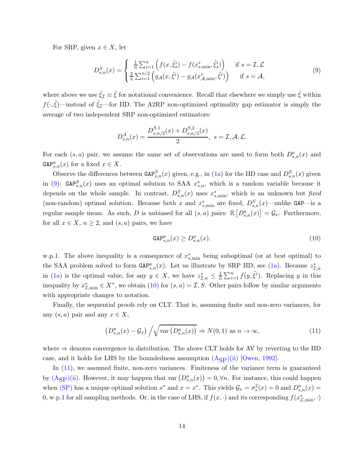For SRP, given  $x \in X$ , let

$$
D_{s,n}^{S}(x) = \begin{cases} \frac{1}{n} \sum_{i=1}^{n} \left( f(x, \tilde{\xi}_s^i) - f(x_{s,\min}^*, \tilde{\xi}_s^i) \right) & \text{if } s = \mathcal{I}, \mathcal{L} \\ \frac{2}{n} \sum_{i=1}^{n/2} \left( g_{\mathcal{A}}(x, \tilde{\xi}^i) - g_{\mathcal{A}}(x_{\mathcal{A},\min}^*, \tilde{\xi}^i) \right) & \text{if } s = \mathcal{A}, \end{cases}
$$
(9)

where above we use  $\tilde{\xi}_{\mathcal{I}} = \tilde{\xi}$  for notational convenience. Recall that elsewhere we simply use  $\tilde{\xi}$  within  $f(\cdot, \tilde{\xi})$ —instead of  $\tilde{\xi}_{\mathcal{I}}$ —for IID. The A2RP non-optimized optimality gap estimator is simply the average of two independent SRP non-optimized estimators:

<span id="page-13-0"></span>
$$
D_{s,n}^A(x) = \frac{D_{s,n/2}^{S,1}(x) + D_{s,n/2}^{S,2}(x)}{2}, \ s = \mathcal{I}, \mathcal{A}, \mathcal{L}.
$$

For each  $(s, a)$  pair, we assume the same set of observations are used to form both  $D_{s,n}^a(x)$  and  $\mathsf{GAP}^a_{s,n}(x)$  for a fixed  $x \in X$ .

Observe the differences between  $\text{GAP}_{s,n}^S(x)$  given, e.g., in [\(1a\)](#page-5-3) for the IID case and  $D_{s,n}^S(x)$  given in [\(9\)](#page-13-0):  $\text{GAP}_{s,n}^S(x)$  uses an optimal solution to SAA  $x_{s,n}^*$ , which is a random variable because it depends on the whole sample. In contrast,  $D_{s,n}^S(x)$  uses  $x_{s,\min}^*$ , which is an unknown but *fixed* (non-random) optimal solution. Because both x and  $x_{s,\min}^*$  are fixed,  $D_{s,n}^S(x)$ —unlike GAP—is a regular sample mean. As such, D is unbiased for all  $(s, a)$  pairs:  $\mathbb{E}\left[D_{s,n}^a(x)\right] = \mathcal{G}_x$ . Furthermore, for all  $x \in X$ ,  $n \geq 2$ , and  $(s, a)$  pairs, we have

<span id="page-13-1"></span>
$$
GAP_{s,n}^a(x) \ge D_{s,n}^a(x),\tag{10}
$$

w.p.1. The above inequality is a consequence of  $x^*_{s,\text{min}}$  being suboptimal (or at best optimal) to the SAA problem solved to form  $\text{GAP}_{s,n}^a(x)$ . Let us illustrate by SRP IID; see [\(1a\)](#page-5-3). Because  $z_{\mathcal{I},n}^*$ in [\(1a\)](#page-5-3) is the optimal value, for any  $y \in X$ , we have  $z_{\mathcal{I},n}^* \leq \frac{1}{n} \sum_{i=1}^n f(y,\tilde{\xi}^i)$ . Replacing y in this inequality by  $x^*_{\mathcal{I},min} \in X^*$ , we obtain [\(10\)](#page-13-1) for  $(s,a) = \mathcal{I}, S$ . Other pairs follow by similar arguments with appropriate changes to notation.

Finally, the sequential proofs rely on CLT. That is, assuming finite and non-zero variances, for any  $(s, a)$  pair and any  $x \in X$ ,

<span id="page-13-2"></span>
$$
\left(D_{s,n}^a(x) - \mathcal{G}_x\right) \bigg/ \sqrt{\text{var}\left(D_{s,n}^a(x)\right)} \Rightarrow N(0,1) \text{ as } n \to \infty,\tag{11}
$$

where  $\Rightarrow$  denotes convergence in distribution. The above CLT holds for AV by reverting to the IID case, and it holds for LHS by the boundedness assumption  $(A_{\rm SP})$ [\(ii\)](#page-8-2) [\[Owen,](#page-35-11) [1992](#page-35-11)].

In [\(11\)](#page-13-2), we assumed finite, non-zero variances. Finiteness of the variance term is guaranteed by  $(A_{\text{SP}})(ii)$ . However, it may happen that var  $(D_{s,n}^a(x)) = 0, \forall n$ . For instance, this could happen when [\(SP\)](#page-0-0) has a unique optimal solution  $x^*$  and  $x = x^*$ . This yields  $\mathcal{G}_x = \sigma_s^2(x) = 0$  and  $D_{s,n}^a(x) =$ 0, w.p.1 for all sampling methods. Or, in the case of LHS, if  $f(x, \cdot)$  and its corresponding  $f(x_{\mathcal{L},\min}^*, \cdot)$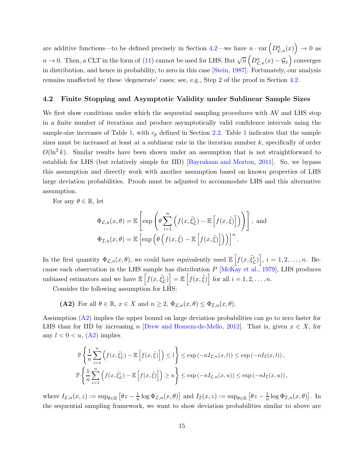are additive functions—to be defined precisely in Section [4.2—](#page-14-0)we have  $n \cdot \text{var}\left(D_{\mathcal{L},n}^a(x)\right) \to 0$  as  $n \to 0$ . Then, a CLT in the form of [\(11\)](#page-13-2) cannot be used for LHS. But  $\sqrt{n}\left(D_{\mathcal{L},n}^a(x) - \mathcal{G}_x\right)$  converges in distribution, and hence in probability, to zero in this case [\[Stein](#page-36-14), [1987](#page-36-14)]. Fortunately, our analysis remains unaffected by these 'degenerate' cases; see, e.g., Step 2 of the proof in Section [4.2.](#page-14-0)

#### <span id="page-14-0"></span>4.2 Finite Stopping and Asymptotic Validity under Sublinear Sample Sizes

We first show conditions under which the sequential sampling procedures with AV and LHS stop in a finite number of iterations and produce asymptotically valid confidence intervals using the sample-size increases of Table [1,](#page-11-1) with  $c_p$  defined in Section [2.2.](#page-6-0) Table [1](#page-11-1) indicates that the sample sizes must be increased at least at a sublinear rate in the iteration number  $k$ , specifically of order  $O(\ln^2 k)$ . Similar results have been shown under an assumption that is not straightforward to establish for LHS (but relatively simple for IID) [\[Bayraksan and Morton,](#page-33-7) [2011](#page-33-7)]. So, we bypass this assumption and directly work with another assumption based on known properties of LHS large deviation probabilities. Proofs must be adjusted to accommodate LHS and this alternative assumption.

For any  $\theta \in \mathbb{R}$ , let

$$
\Phi_{\mathcal{L},n}(x,\theta) = \mathbb{E}\left[\exp\left(\theta \sum_{i=1}^n \left(f(x,\tilde{\xi}_{\mathcal{L}}^i) - \mathbb{E}\left[f(x,\tilde{\xi})\right]\right)\right)\right], \text{ and}
$$

$$
\Phi_{\mathcal{I},n}(x,\theta) = \mathbb{E}\left[\exp\left(\theta \left(f(x,\tilde{\xi}) - \mathbb{E}\left[f(x,\tilde{\xi})\right]\right)\right)\right]^n.
$$

In the first quantity  $\Phi_{\mathcal{L},n}(x,\theta)$ , we could have equivalently used  $\mathbb{E}\left[f(x,\tilde{\xi}^i_{\mathcal{L}})\right]$  $\left[i_c\right]$ ,  $i=1,2,\ldots,n.$  Because each observation in the LHS sample has distribution  $P$  [\[McKay et al.](#page-35-15), [1979\]](#page-35-15), LHS produces unbiased estimators and we have  $\mathbb{E}\left[f(x,\tilde{\xi}^i)\right]$  $\mathcal{L} \left[ f(x, \tilde{\xi}) \right] = \mathbb{E} \left[ f(x, \tilde{\xi}) \right]$  for all  $i = 1, 2, \dots, n$ .

Consider the following assumption for LHS:

<span id="page-14-1"></span>(A2) For all  $\theta \in \mathbb{R}$ ,  $x \in X$  and  $n \geq 2$ ,  $\Phi_{\mathcal{L},n}(x,\theta) \leq \Phi_{\mathcal{L},n}(x,\theta)$ .

Assumption [\(A2\)](#page-14-1) implies the upper bound on large deviation probabilities can go to zero faster for LHS than for IID by increasing n [\[Drew and Homem-de-Mello](#page-33-9), [2012](#page-33-9)]. That is, given  $x \in X$ , for any  $l < 0 < u$ , [\(A2\)](#page-14-1) implies

$$
\mathbb{P}\left\{\frac{1}{n}\sum_{i=1}^{n}\left(f(x,\tilde{\xi}_{\mathcal{L}}^{i})-\mathbb{E}\left[f(x,\tilde{\xi})\right]\right)\leq l\right\}\leq \exp\left(-nI_{\mathcal{L},n}(x,l)\right)\leq \exp\left(-nI_{\mathcal{I}}(x,l)\right),
$$
  

$$
\mathbb{P}\left\{\frac{1}{n}\sum_{i=1}^{n}\left(f(x,\tilde{\xi}_{\mathcal{L}}^{i})-\mathbb{E}\left[f(x,\tilde{\xi})\right]\right)\geq u\right\}\leq \exp\left(-nI_{\mathcal{L},n}(x,u)\right)\leq \exp\left(-nI_{\mathcal{I}}(x,u)\right),
$$

where  $I_{\mathcal{L},n}(x,z) := \sup_{\theta \in \mathbb{R}} \left[ \theta z - \frac{1}{n} \right]$  $\frac{1}{n} \log \Phi_{\mathcal{L},n}(x,\theta)$  and  $I_{\mathcal{I}}(x,z) := \sup_{\theta \in \mathbb{R}} \left[ \theta z - \frac{1}{n} \right]$  $\frac{1}{n} \log \Phi_{\mathcal{I},n}(x,\theta)$ . In the sequential sampling framework, we want to show deviation probabilities similar to above are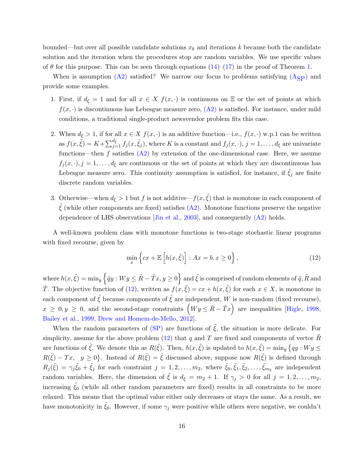bounded—but over all possible candidate solutions  $x_k$  and iterations k because both the candidate solution and the iteration when the procedures stop are random variables. We use specific values of  $\theta$  for this purpose. This can be seen through equations [\(14\)](#page-17-0)–[\(17\)](#page-17-1) in the proof of Theorem [1.](#page-16-0)

When is assumption  $(A2)$  satisfied? We narrow our focus to problems satisfying  $(A_{\text{SP}})$  and provide some examples.

- 1. First, if  $d_{\xi} = 1$  and for all  $x \in X$   $f(x, \cdot)$  is continuous on  $\Xi$  or the set of points at which  $f(x, \cdot)$  is discontinuous has Lebesgue measure zero,  $(A2)$  is satisfied. For instance, under mild conditions, a traditional single-product newsvendor problem fits this case.
- 2. When  $d_{\xi} > 1$ , if for all  $x \in X$   $f(x, \cdot)$  is an additive function—i.e.,  $f(x, \cdot)$  w.p.1 can be written as  $f(x,\tilde{\xi}) = K + \sum_{j=1}^{d_{\xi}} f_j(x,\tilde{\xi}_j)$ , where K is a constant and  $f_j(x,\cdot), j = 1,\ldots,d_{\xi}$  are univariate functions—then f satisfies  $(A2)$  by extension of the one-dimensional case. Here, we assume  $f_j(x, \cdot), j = 1, \ldots, d_\xi$  are continuous or the set of points at which they are discontinuous has Lebesgue measure zero. This continuity assumption is satisfied, for instance, if  $\tilde{\xi}_j$  are finite discrete random variables.
- 3. Otherwise—when  $d_{\xi} > 1$  but f is not additive— $f(x, \xi)$  that is monotone in each component of  $\xi$  (while other components are fixed) satisfies  $(A2)$ . Monotone functions preserve the negative dependence of LHS observations [\[Jin et al.,](#page-34-16) [2003](#page-34-16)], and consequently [\(A2\)](#page-14-1) holds.

A well-known problem class with monotone functions is two-stage stochastic linear programs with fixed recourse, given by

<span id="page-15-0"></span>
$$
\min_{x} \left\{ cx + \mathbb{E} \left[ h(x, \tilde{\xi}) \right] : Ax = b, x \ge 0 \right\},\tag{12}
$$

where  $h(x,\tilde{\xi}) = \min_y \left\{ \tilde{q}y : Wy \leq \tilde{R} - \tilde{T}x, y \geq 0 \right\}$  and  $\tilde{\xi}$  is comprised of random elements of  $\tilde{q}, \tilde{R}$  and T. The objective function of [\(12\)](#page-15-0), written as  $f(x, \tilde{\xi}) = cx + h(x, \tilde{\xi})$  for each  $x \in X$ , is monotone in each component of  $\tilde{\xi}$  because components of  $\tilde{\xi}$  are independent, W is non-random (fixed recourse),  $x \geq 0, y \geq 0$ , and the second-stage constraints  $\left(Wy \leq \tilde{R} - \tilde{T}x\right)$  are inequalities [\[Higle,](#page-34-4) [1998](#page-34-4), [Bailey et al.,](#page-32-1) [1999](#page-32-1), [Drew and Homem-de-Mello](#page-33-9), [2012](#page-33-9)].

When the random parameters of  $(SP)$  are functions of  $\xi$ , the situation is more delicate. For simplicity, assume for the above problem [\(12\)](#page-15-0) that q and T are fixed and components of vector  $\tilde{R}$ are functions of  $\tilde{\xi}$ . We denote this as  $R(\tilde{\xi})$ . Then,  $h(x,\tilde{\xi})$  is updated to  $h(x,\tilde{\xi}) = \min_y \{qy : Wy \leq \xi\}$  $R(\tilde{\xi}) - Tx$ ,  $y \ge 0$ . Instead of  $R(\tilde{\xi}) = \tilde{\xi}$  discussed above, suppose now  $R(\tilde{\xi})$  is defined through  $R_j(\tilde{\xi}) = \gamma_j \tilde{\xi}_0 + \tilde{\xi}_j$  for each constraint  $j = 1, 2, \ldots, m_2$ , where  $\tilde{\xi}_0, \tilde{\xi}_1, \tilde{\xi}_2, \ldots, \tilde{\xi}_{m_2}$  are independent random variables. Here, the dimension of  $\tilde{\xi}$  is  $d_{\xi} = m_2 + 1$ . If  $\gamma_j > 0$  for all  $j = 1, 2, ..., m_2$ , increasing  $\tilde{\xi}_0$  (while all other random parameters are fixed) results in all constraints to be more relaxed. This means that the optimal value either only decreases or stays the same. As a result, we have monotonicity in  $\tilde{\xi}_0$ . However, if some  $\gamma_j$  were positive while others were negative, we couldn't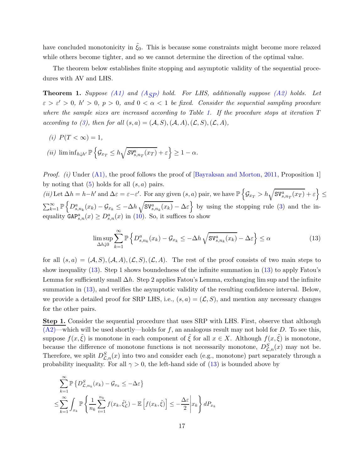have concluded monotonicity in  $\zeta_0$ . This is because some constraints might become more relaxed while others become tighter, and so we cannot determine the direction of the optimal value.

The theorem below establishes finite stopping and asymptotic validity of the sequential procedures with AV and LHS.

<span id="page-16-0"></span>Theorem 1. *Suppose [\(A1\)](#page-9-0) and [\(ASP\)](#page-8-0) hold. For LHS, additionally suppose [\(A2\)](#page-14-1) holds. Let*  $\varepsilon > \varepsilon' > 0$ ,  $h' > 0$ ,  $p > 0$ , and  $0 < \alpha < 1$  be fixed. Consider the sequential sampling procedure *where the sample sizes are increased according to Table [1.](#page-11-1) If the procedure stops at iteration* T *according to* [\(3\)](#page-6-1), then for all  $(s, a) = (A, S), (A, A), (L, S), (L, A)$ ,

- *(i)*  $P(T < \infty) = 1$ ,
- $(iii)$   $\liminf_{h \downarrow h'} \mathbb{P} \left\{ \mathcal{G}_{x_T} \leq h \sqrt{S \mathcal{V}_{s,n_T}^a(x_T)} + \varepsilon \right\} \geq 1 \alpha.$

*Proof.* (i) Under [\(A1\),](#page-9-0) the proof follows the proof of [\[Bayraksan and Morton](#page-33-7), [2011](#page-33-7), Proposition 1] by noting that  $(5)$  holds for all  $(s, a)$  pairs.

 $(iii)$  Let  $\Delta h = h - h'$  and  $\Delta \varepsilon = \varepsilon - \varepsilon'$ . For any given  $(s, a)$  pair, we have  $\mathbb{P}\left\{\mathcal{G}_{x_T} > h\sqrt{\text{SV}_{s, n_T}^a(x_T)} + \varepsilon\right\} \leq$  $\sum_{k=1}^{\infty} \mathbb{P} \left\{ D_{s,n_k}^a(x_k) - \mathcal{G}_{x_k} \leq -\Delta h \sqrt{\mathsf{SV}_{s,n_k}^a(x_k)} - \Delta \varepsilon \right\}$  by using the stopping rule [\(3\)](#page-6-1) and the inequality  $\text{GAP}_{s,n}^a(x) \geq D_{s,n}^a(x)$  in [\(10\)](#page-13-1). So, it suffices to show

<span id="page-16-1"></span>
$$
\limsup_{\Delta h \downarrow 0} \sum_{k=1}^{\infty} \mathbb{P} \left\{ D_{s,n_k}^a(x_k) - \mathcal{G}_{x_k} \le -\Delta h \sqrt{\text{SV}_{s,n_k}^a(x_k)} - \Delta \varepsilon \right\} \le \alpha \tag{13}
$$

for all  $(s, a) = (\mathcal{A}, S), (\mathcal{A}, A), (\mathcal{L}, S), (\mathcal{L}, A)$ . The rest of the proof consists of two main steps to show inequality [\(13\)](#page-16-1). Step 1 shows boundedness of the infinite summation in [\(13\)](#page-16-1) to apply Fatou's Lemma for sufficiently small  $\Delta h$ . Step 2 applies Fatou's Lemma, exchanging lim sup and the infinite summation in [\(13\)](#page-16-1), and verifies the asymptotic validity of the resulting confidence interval. Below, we provide a detailed proof for SRP LHS, i.e.,  $(s, a) = (\mathcal{L}, S)$ , and mention any necessary changes for the other pairs.

Step 1. Consider the sequential procedure that uses SRP with LHS. First, observe that although  $(A2)$ —which will be used shortly—holds for f, an analogous result may not hold for D. To see this, suppose  $f(x, \tilde{\xi})$  is monotone in each component of  $\tilde{\xi}$  for all  $x \in X$ . Although  $f(x, \tilde{\xi})$  is monotone, because the difference of monotone functions is not necessarily monotone,  $D_{\mathcal{L},n}^S(x)$  may not be. Therefore, we split  $D_{\mathcal{L},n}^S(x)$  into two and consider each (e.g., monotone) part separately through a probability inequality. For all  $\gamma > 0$ , the left-hand side of [\(13\)](#page-16-1) is bounded above by

$$
\sum_{k=1}^{\infty} \mathbb{P} \left\{ D_{\mathcal{L}, n_k}^S(x_k) - \mathcal{G}_{x_k} \le -\Delta \varepsilon \right\}
$$
\n
$$
\le \sum_{k=1}^{\infty} \int_{x_k} \mathbb{P} \left\{ \frac{1}{n_k} \sum_{i=1}^{n_k} f(x_k, \tilde{\xi}_\mathcal{L}^i) - \mathbb{E} \left[ f(x_k, \tilde{\xi}) \right] \le -\frac{\Delta \varepsilon}{2} \middle| x_k \right\} dP_{x_k}
$$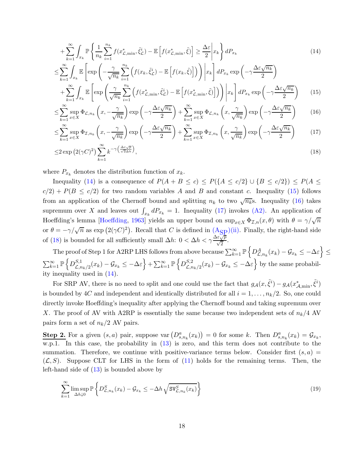<span id="page-17-0"></span>
$$
+\sum_{k=1}^{\infty} \int_{x_k} \mathbb{P}\left\{\frac{1}{n_k} \sum_{i=1}^{n_k} f(x_{\mathcal{L},\min}^*, \tilde{\xi}_{\mathcal{L}}^i) - \mathbb{E}\left[f(x_{\mathcal{L},\min}^*, \tilde{\xi})\right] \ge \frac{\Delta\varepsilon}{2} \middle| x_k \right\} dP_{x_k} \tag{14}
$$

$$
\leq \sum_{k=1}^{\infty} \int_{x_k} \mathbb{E} \left[ \exp \left( -\frac{\gamma}{\sqrt{n_k}} \sum_{i=1}^{n_k} \left( f(x_k, \tilde{\xi}_{\mathcal{L}}^i) - \mathbb{E} \left[ f(x_k, \tilde{\xi}) \right] \right) \right) \Big| x_k \right] dP_{x_k} \exp \left( -\gamma \frac{\Delta \varepsilon \sqrt{n_k}}{2} \right) + \sum_{k=1}^{\infty} \int_{x_k} \mathbb{E} \left[ \exp \left( \frac{\gamma}{\sqrt{n_k}} \sum_{i=1}^{n_k} \left( f(x_{\mathcal{L},\min}^*, \tilde{\xi}_{\mathcal{L}}^i) - \mathbb{E} \left[ f(x_{\mathcal{L},\min}^*, \tilde{\xi}) \right] \right) \right) \Big| x_k \right] dP_{x_k} \exp \left( -\gamma \frac{\Delta \varepsilon \sqrt{n_k}}{2} \right) \tag{15}
$$

<span id="page-17-3"></span><span id="page-17-2"></span>
$$
\leq \sum_{k=1}^{\infty} \sup_{x \in X} \Phi_{\mathcal{L}, n_k} \left( x, -\frac{\gamma}{\sqrt{n_k}} \right) \exp \left( -\gamma \frac{\Delta \varepsilon \sqrt{n_k}}{2} \right) + \sum_{k=1}^{\infty} \sup_{x \in X} \Phi_{\mathcal{L}, n_k} \left( x, \frac{\gamma}{\sqrt{n_k}} \right) \exp \left( -\gamma \frac{\Delta \varepsilon \sqrt{n_k}}{2} \right) \tag{16}
$$

<span id="page-17-1"></span>
$$
\leq \sum_{k=1}^{\infty} \sup_{x \in X} \Phi_{\mathcal{I}, n_k} \left( x, -\frac{\gamma}{\sqrt{n_k}} \right) \exp \left( -\gamma \frac{\Delta \varepsilon \sqrt{n_k}}{2} \right) + \sum_{k=1}^{\infty} \sup_{x \in X} \Phi_{\mathcal{I}, n_k} \left( x, \frac{\gamma}{\sqrt{n_k}} \right) \exp \left( -\gamma \frac{\Delta \varepsilon \sqrt{n_k}}{2} \right) \tag{17}
$$

<span id="page-17-4"></span>
$$
\leq 2 \exp\left(2(\gamma C)^2\right) \sum_{k=1}^{\infty} k^{-\gamma \left(\frac{\Delta \varepsilon \sqrt{p}}{\sqrt{2}\Delta h}\right)},\tag{18}
$$

where  $P_{x_k}$  denotes the distribution function of  $x_k$ .

Inequality [\(14\)](#page-17-0) is a consequence of  $P(A + B \le c) \le P({A \le c/2} \cup {B \le c/2}) \le P(A \le c)$  $c/2$  +  $P(B \le c/2)$  for two random variables A and B and constant c. Inequality [\(15\)](#page-17-2) follows from an application of the Chernoff bound and splitting  $n_k$  to two  $\sqrt{n_k}$ s. Inequality [\(16\)](#page-17-3) takes supremum over X and leaves out  $\int_{x_k} dP_{x_k} = 1$ . Inequality [\(17\)](#page-17-1) invokes [\(A2\).](#page-14-1) An application of Hoeffding's lemma [\[Hoeffding,](#page-34-17) [1963\]](#page-34-17) yields an upper bound on  $\sup_{x\in X} \Phi_{\mathcal{I},n}(x,\theta)$  with  $\theta = \gamma/\sqrt{n}$ or  $\theta = -\gamma/\sqrt{n}$  as  $\exp(2(\gamma C)^2)$ . Recall that C is defined in  $(A_{\text{SP}})(ii)$ . Finally, the right-hand side of [\(18\)](#page-17-4) is bounded for all sufficiently small  $\Delta h$ :  $0 < \Delta h < \gamma \frac{\Delta \varepsilon \sqrt{p}}{\sqrt{2}}$ .

The proof of Step 1 for A2RP LHS follows from above because  $\sum_{k=1}^{\infty}\mathbb{P}\left\{D_{\mathcal{L},n_{k}}^{A}(x_{k})-\mathcal{G}_{x_{k}}\leq-\Delta\varepsilon\right\}\leq$  $\sum_{k=1}^\infty \mathbb{P} \left\{ D_{\mathcal{L},n}^{S,1} \right\}$  $\left\{ \mathcal{L}_{\mathcal{L},n_{k}/2}(x_{k})-\mathcal{G}_{x_{k}}\leq-\Delta\varepsilon\right\} +\sum_{k=1}^{\infty}\mathbb{P}\left\{ D_{\mathcal{L},n_{k}}^{S,2}\right\}$  $\mathcal{L}_{\mathcal{L},n_k/2}(x_k) - \mathcal{G}_{x_k} \leq -\Delta \varepsilon$  by the same probability inequality used in [\(14\)](#page-17-0).

For SRP AV, there is no need to split and one could use the fact that  $g_A(x, \tilde{\xi}^i) - g_A(x^*_{A,\min}, \tilde{\xi}^i)$ is bounded by 4C and independent and identically distributed for all  $i = 1, \ldots, n_k/2$ . So, one could directly invoke Hoeffding's inequality after applying the Chernoff bound and taking supremum over X. The proof of AV with A2RP is essentially the same because two independent sets of  $n_k/4$  AV pairs form a set of  $n_k/2$  AV pairs.

**Step 2.** For a given  $(s, a)$  pair, suppose var  $(D_{s,n_k}^a(x_k)) = 0$  for some k. Then  $D_{s,n_k}^a(x_k) = G_{x_k}$ , w.p.1. In this case, the probability in  $(13)$  is zero, and this term does not contribute to the summation. Therefore, we continue with positive-variance terms below. Consider first  $(s, a)$  =  $(\mathcal{L}, S)$ . Suppose CLT for LHS in the form of [\(11\)](#page-13-2) holds for the remaining terms. Then, the left-hand side of  $(13)$  is bounded above by

<span id="page-17-5"></span>
$$
\sum_{k=1}^{\infty} \limsup_{\Delta h \downarrow 0} \mathbb{P}\left\{ D_{\mathcal{L},n_k}^S(x_k) - \mathcal{G}_{x_k} \le -\Delta h \sqrt{\text{SV}_{\mathcal{L},n_k}^S(x_k)} \right\} \tag{19}
$$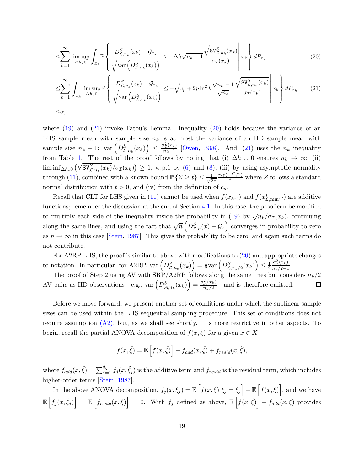<span id="page-18-1"></span>
$$
\leq \sum_{k=1}^{\infty} \limsup_{\Delta h \downarrow 0} \int_{x_k} \mathbb{P}\left\{\frac{D_{\mathcal{L},n_k}^S(x_k) - \mathcal{G}_{x_k}}{\sqrt{\text{var}\left(D_{\mathcal{L},n_k}^S(x_k)\right)}} \leq -\Delta h \sqrt{n_k - 1} \frac{\sqrt{\text{SV}_{\mathcal{L},n_k}^S(x_k)}}{\sigma_{\mathcal{I}}(x_k)} \middle| x_k \right\} dP_{x_k} \tag{20}
$$

<span id="page-18-0"></span>
$$
\leq \sum_{k=1}^{\infty} \int_{x_k} \limsup_{\Delta h \downarrow 0} \mathbb{P}\left\{ \frac{D_{\mathcal{L},n_k}^S(x_k) - \mathcal{G}_{x_k}}{\sqrt{\text{var}\left(D_{\mathcal{L},n_k}^S(x_k)\right)}} \leq -\sqrt{c_p + 2p \ln^2 k} \frac{\sqrt{n_k - 1}}{\sqrt{n_k}} \frac{\sqrt{\text{SV}_{\mathcal{L},n_k}^S(x_k)}}{\sigma_{\mathcal{I}}(x_k)} \right| x_k \right\} dP_{x_k} \qquad (21)
$$
  

$$
\leq \alpha,
$$

where  $(19)$  and  $(21)$  invoke Fatou's Lemma. Inequality  $(20)$  holds because the variance of an LHS sample mean with sample size  $n_k$  is at most the variance of an IID sample mean with sample size  $n_k - 1$ : var  $\left(D_{\mathcal{L},n_k}^S(x_k)\right) \leq \frac{\sigma_{\mathcal{I}}^2(x_k)}{n_k - 1}$  $\frac{f_1(x_k)}{n_k-1}$  [\[Owen,](#page-35-16) [1998](#page-35-16)]. And, [\(21\)](#page-18-0) uses the  $n_k$  inequality from Table [1.](#page-11-1) The rest of the proof follows by noting that (i)  $\Delta h \downarrow 0$  ensures  $n_k \to \infty$ , (ii)  $\liminf_{\Delta h \downarrow 0} (\sqrt{\text{SV}^S_{\mathcal{L},n_k}(x_k)}/\sigma_{\mathcal{I}}(x_k)) \geq 1$ , w.p.1 by [\(6\)](#page-12-1) and [\(8\)](#page-12-0), (iii) by using asymptotic normality through [\(11\)](#page-13-2), combined with a known bound  $\mathbb{P}\left\{ Z \geq t \right\} \leq \frac{1}{\sqrt{2}}$  $2\pi$  $\frac{\exp(-t^2/2)}{t}$  where Z follows a standard normal distribution with  $t > 0$ , and (iv) from the definition of  $c_p$ .

Recall that CLT for LHS given in [\(11\)](#page-13-2) cannot be used when  $f(x_k, \cdot)$  and  $f(x_{\mathcal{L},\text{min}}^*, \cdot)$  are additive functions; remember the discussion at the end of Section [4.1.](#page-11-3) In this case, the proof can be modified to multiply each side of the inequality inside the probability in [\(19\)](#page-17-5) by  $\sqrt{n_k}/\sigma_{\mathcal{I}}(x_k)$ , continuing along the same lines, and using the fact that  $\sqrt{n}\left(D_{\mathcal{L},n}^S(x)-\mathcal{G}_x\right)$  converges in probability to zero as  $n \to \infty$  in this case [\[Stein,](#page-36-14) [1987](#page-36-14)]. This gives the probability to be zero, and again such terms do not contribute.

For A2RP LHS, the proof is similar to above with modifications to [\(20\)](#page-18-1) and appropriate changes to notation. In particular, for A2RP,  $var(D_{\mathcal{L},n_k}^A(x_k)) = \frac{1}{2}$  $\frac{1}{2}$ var  $\left(D_{\mathcal{L},n_k/2}^S(x_k)\right) \leq \frac{1}{2}$ 2  $\sigma^2_{\mathcal{I}}(x_k)$  $\frac{\sigma_{\mathcal{I}}(x_k)}{n_k/2-1}$ .

The proof of Step 2 using AV with SRP/A2RP follows along the same lines but considers  $n_k/2$ AV pairs as IID observations—e.g.,  $var\left(D_{\mathcal{A},n_k}^S(x_k)\right) = \frac{\sigma_{\mathcal{A}}^2(x_k)}{n_k/2}$ —and is therefore omitted. □

Before we move forward, we present another set of conditions under which the sublinear sample sizes can be used within the LHS sequential sampling procedure. This set of conditions does not require assumption  $(A2)$ , but, as we shall see shortly, it is more restrictive in other aspects. To begin, recall the partial ANOVA decomposition of  $f(x, \tilde{\xi})$  for a given  $x \in X$ 

$$
f(x,\tilde{\xi}) = \mathbb{E}\left[f(x,\tilde{\xi})\right] + f_{add}(x,\tilde{\xi}) + f_{resid}(x,\tilde{\xi}),
$$

where  $f_{add}(x,\tilde{\xi}) = \sum_{j=1}^{d_{\xi}} f_j(x,\tilde{\xi}_j)$  is the additive term and  $f_{resid}$  is the residual term, which includes higher-order terms [\[Stein,](#page-36-14) [1987](#page-36-14)].

In the above ANOVA decomposition,  $f_j(x,\xi_j) = \mathbb{E}\left[f(x,\tilde{\xi})\Big|\tilde{\xi}_j = \xi_j\right] - \mathbb{E}\left[f(x,\tilde{\xi})\right]$ , and we have  $\mathbb{E}\left[f_j(x,\tilde{\xi}_j)\right] = \mathbb{E}\left[f_{resid}(x,\tilde{\xi})\right] = 0.$  With  $f_j$  defined as above,  $\mathbb{E}\left[f(x,\tilde{\xi})\right] + f_{add}(x,\tilde{\xi})$  provides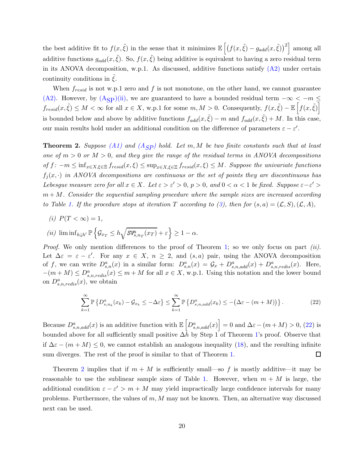the best additive fit to  $f(x,\tilde{\xi})$  in the sense that it minimizes  $\mathbb{E}\left[\left(f(x,\tilde{\xi})-g_{add}(x,\tilde{\xi})\right)^2\right]$  among all additive functions  $g_{add}(x, \tilde{\xi})$ . So,  $f(x, \tilde{\xi})$  being additive is equivalent to having a zero residual term in its ANOVA decomposition, w.p.1. As discussed, additive functions satisfy [\(A2\)](#page-14-1) under certain continuity conditions in  $\xi$ .

When  $f_{resid}$  is not w.p.1 zero and f is not monotone, on the other hand, we cannot guarantee [\(A2\).](#page-14-1) However, by  $(A_{\text{SP}})(ii)$ , we are guaranteed to have a bounded residual term  $-\infty < -m \le$  $f_{resid}(x, \tilde{\xi}) \leq M < \infty$  for all  $x \in X$ , w.p.1 for some  $m, M > 0$ . Consequently,  $f(x, \tilde{\xi}) - \mathbb{E}\left[f(x, \tilde{\xi})\right]$ is bounded below and above by additive functions  $f_{add}(x, \tilde{\xi}) - m$  and  $f_{add}(x, \tilde{\xi}) + M$ . In this case, our main results hold under an additional condition on the difference of parameters  $\varepsilon - \varepsilon'$ .

<span id="page-19-1"></span>Theorem 2. *Suppose [\(A1\)](#page-9-0) and [\(ASP\)](#page-8-0) hold. Let* m, M *be two finite constants such that at least one of*  $m > 0$  *or*  $M > 0$ , and they give the range of the residual terms in ANOVA decompositions *of*  $f$ *:* −m ≤ inf<sub>x∈X, $\xi$ ∈Ξ  $f_{resid}(x, \xi)$  ≤ sup<sub>x∈X, $\xi$ ∈Ξ  $f_{resid}(x, \xi)$  ≤ M. Suppose the univariate functions</sub></sub>  $f_i(x, \cdot)$  *in ANOVA decompositions are continuous or the set of points they are discontinuous has Lebesgue measure zero for all*  $x \in X$ *. Let*  $\varepsilon > \varepsilon' > 0$ ,  $p > 0$ , and  $0 < \alpha < 1$  be fixed. Suppose  $\varepsilon - \varepsilon' >$ m + M*. Consider the sequential sampling procedure where the sample sizes are increased according to Table [1.](#page-11-1) If the procedure stops at iteration* T *according to* [\(3\)](#page-6-1), then for  $(s, a) = (\mathcal{L}, S), (\mathcal{L}, A)$ ,

- *(i)*  $P(T < \infty) = 1$ ,
- $(iii)$   $\liminf_{h \downarrow h'} \mathbb{P} \left\{ \mathcal{G}_{x_T} \leq h \sqrt{S \mathcal{V}_{s,n_T}^a(x_T)} + \varepsilon \right\} \geq 1 \alpha.$

*Proof.* We only mention differences to the proof of Theorem [1;](#page-16-0) so we only focus on part *(ii)*. Let  $\Delta \varepsilon = \varepsilon - \varepsilon'$ . For any  $x \in X$ ,  $n \ge 2$ , and  $(s, a)$  pair, using the ANOVA decomposition of f, we can write  $D_{s,n}^a(x)$  in a similar form:  $D_{s,n}^a(x) = \mathcal{G}_x + D_{s,n,add}^a(x) + D_{s,n,redis}^a(x)$ . Here,  $-(m+M) \leq D_{s,n,redis}^a(x) \leq m+M$  for all  $x \in X$ , w.p.1. Using this notation and the lower bound on  $D^a_{s,n,redis}(x)$ , we obtain

<span id="page-19-0"></span>
$$
\sum_{k=1}^{\infty} \mathbb{P} \left\{ D_{s,n_k}^a(x_k) - \mathcal{G}_{x_k} \le -\Delta \varepsilon \right\} \le \sum_{k=1}^{\infty} \mathbb{P} \left\{ D_{s,n,add}^a(x_k) \le -\left(\Delta \varepsilon - (m+M)\right) \right\}.
$$
 (22)

Because  $D_{s,n,add}^a(x)$  is an additive function with  $\mathbb{E}\left[D_{s,n,add}^a(x)\right] = 0$  and  $\Delta\varepsilon - (m+M) > 0$ , [\(22\)](#page-19-0) is bounded above for all sufficiently small positive  $\Delta h$  by Step 1 of Theorem [1'](#page-16-0)s proof. Observe that if  $\Delta \varepsilon - (m + M) \leq 0$ , we cannot establish an analogous inequality [\(18\)](#page-17-4), and the resulting infinite sum diverges. The rest of the proof is similar to that of Theorem [1.](#page-16-0)  $\Box$ 

Theorem [2](#page-19-1) implies that if  $m + M$  is sufficiently small—so f is mostly additive—it may be reasonable to use the sublinear sample sizes of Table [1.](#page-11-1) However, when  $m + M$  is large, the additional condition  $\varepsilon - \varepsilon' > m + M$  may yield impractically large confidence intervals for many problems. Furthermore, the values of  $m, M$  may not be known. Then, an alternative way discussed next can be used.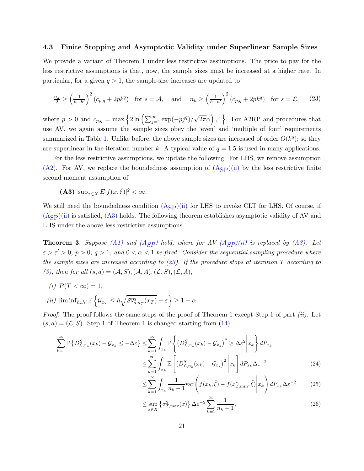### <span id="page-20-5"></span>4.3 Finite Stopping and Asymptotic Validity under Superlinear Sample Sizes

We provide a variant of Theorem [1](#page-16-0) under less restrictive assumptions. The price to pay for the less restrictive assumptions is that, now, the sample sizes must be increased at a higher rate. In particular, for a given  $q > 1$ , the sample-size increases are updated to

<span id="page-20-1"></span>
$$
\frac{n_k}{2} \ge \left(\frac{1}{h-h'}\right)^2 (c_{p,q} + 2pk^q) \quad \text{for } s = \mathcal{A}, \quad \text{and} \quad n_k \ge \left(\frac{1}{h-h'}\right)^2 (c_{p,q} + 2pk^q) \quad \text{for } s = \mathcal{L}, \tag{23}
$$

where  $p > 0$  and  $c_{p,q} = \max\left\{2\ln\left(\sum_{j=1}^{\infty} \exp(-pj^q)/\sqrt{2\pi}\alpha\right), 1\right\}$ . For A2RP and procedures that use AV, we again assume the sample sizes obey the 'even' and 'multiple of four' requirements summarized in Table [1.](#page-11-1) Unlike before, the above sample sizes are increased of order  $O(k^{q})$ ; so they are superlinear in the iteration number k. A typical value of  $q = 1.5$  is used in many applications.

For the less restrictive assumptions, we update the following: For LHS, we remove assumption  $(A2)$ . For AV, we replace the boundedness assumption of  $(A_{\text{SP}})(ii)$  $(A_{\text{SP}})(ii)$  by the less restrictive finite second moment assumption of

<span id="page-20-0"></span>(A3) 
$$
\sup_{x \in X} E[f(x, \tilde{\xi})]^2 < \infty.
$$

We still need the boundedness condition  $(A_{\text{SP}})(ii)$  $(A_{\text{SP}})(ii)$  for LHS to invoke CLT for LHS. Of course, if  $(A_{\rm SP})$ [\(ii\)](#page-8-2) is satisfied,  $(A3)$  holds. The following theorem establishes asymptotic validity of AV and LHS under the above less restrictive assumptions.

<span id="page-20-6"></span>**Theorem 3.** *Suppose*  $(A1)$  *and*  $(A_{SP})$  *hold, where for AV*  $(A_{SP})(ii)$  $(A_{SP})(ii)$  *is replaced by*  $(A3)$ *. Let*  $\varepsilon > \varepsilon' > 0$ ,  $p > 0$ ,  $q > 1$ , and  $0 < \alpha < 1$  be fixed. Consider the sequential sampling procedure where *the sample sizes are increased according to [\(23\)](#page-20-1). If the procedure stops at iteration* T *according to [\(3\)](#page-6-1), then for all*  $(s, a) = (A, S), (A, A), (L, S), (L, A)$ *,* 

- *(i)*  $P(T < \infty) = 1$ ,
- $(iii)$   $\liminf_{h \downarrow h'} \mathbb{P} \left\{ \mathcal{G}_{x_T} \leq h \sqrt{S \mathcal{V}_{s,n_T}^a(x_T)} + \varepsilon \right\} \geq 1 \alpha.$

*Proof.* The proof follows the same steps of the proof of Theorem [1](#page-16-0) except Step 1 of part *(ii)*. Let  $(s, a) = (\mathcal{L}, S)$ . Step [1](#page-16-0) of Theorem 1 is changed starting from [\(14\)](#page-17-0):

$$
\sum_{k=1}^{\infty} \mathbb{P} \left\{ D_{\mathcal{L},n_k}^S(x_k) - \mathcal{G}_{x_k} \le -\Delta \varepsilon \right\} \le \sum_{k=1}^{\infty} \int_{x_k} \mathbb{P} \left\{ \left( D_{\mathcal{L},n_k}^S(x_k) - \mathcal{G}_{x_k} \right)^2 \ge \Delta \varepsilon^2 \middle| x_k \right\} dP_{x_k} \n\le \sum_{k=1}^{\infty} \int_{x_k} \mathbb{E} \left[ \left( D_{\mathcal{L},n_k}^S(x_k) - \mathcal{G}_{x_k} \right)^2 \middle| x_k \right] dP_{x_k} \Delta \varepsilon^{-2}
$$
\n(24)

<span id="page-20-3"></span><span id="page-20-2"></span>
$$
\leq \sum_{k=1}^{\infty} \int_{x_k} \frac{1}{n_k - 1} \text{var}\left(f(x_k, \tilde{\xi}) - f(x_{\mathcal{I}, \min}^*, \tilde{\xi}) \middle| x_k\right) dP_{x_k} \Delta \varepsilon^{-2} \tag{25}
$$

<span id="page-20-4"></span>
$$
\leq \sup_{x \in X} \left\{ \sigma_{\mathcal{I}, \max}^2(x) \right\} \Delta \varepsilon^{-2} \sum_{k=1}^{\infty} \frac{1}{n_k - 1},\tag{26}
$$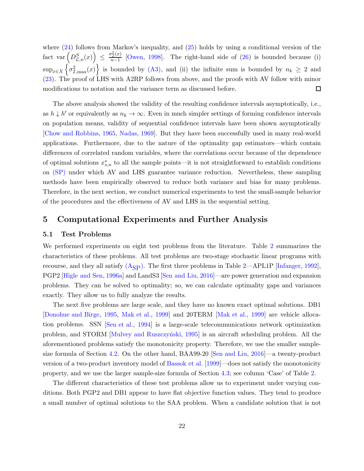where  $(24)$  follows from Markov's inequality, and  $(25)$  holds by using a conditional version of the fact var  $\left(D_{\mathcal{L},n}^S(x)\right) \leq \frac{\sigma_{\mathcal{I}}^2(x)}{n-1}$  $\frac{f_1(x)}{n-1}$  [\[Owen,](#page-35-16) [1998](#page-35-16)]. The right-hand side of [\(26\)](#page-20-4) is bounded because (i)  $\sup_{x\in X}\left\{\sigma_{\mathcal{I},\max}^2(x)\right\}$  is bounded by [\(A3\),](#page-20-0) and (ii) the infinite sum is bounded by  $n_k\geq 2$  and [\(23\)](#page-20-1). The proof of LHS with A2RP follows from above, and the proofs with AV follow with minor  $\Box$ modifications to notation and the variance term as discussed before.

The above analysis showed the validity of the resulting confidence intervals asymptotically, i.e., as  $h \downarrow h'$  or equivalently as  $n_k \to \infty$ . Even in much simpler settings of forming confidence intervals on population means, validity of sequential confidence intervals have been shown asymptotically [\[Chow and Robbins,](#page-33-15) [1965](#page-33-15), [Nadas](#page-35-17), [1969\]](#page-35-17). But they have been successfully used in many real-world applications. Furthermore, due to the nature of the optimality gap estimators—which contain differences of correlated random variables, where the correlations occur because of the dependence of optimal solutions  $x_{s,n}^*$  to all the sample points—it is not straightforward to establish conditions on [\(SP\)](#page-0-0) under which AV and LHS guarantee variance reduction. Nevertheless, these sampling methods have been empirically observed to reduce both variance and bias for many problems. Therefore, in the next section, we conduct numerical experiments to test the small-sample behavior of the procedures and the effectiveness of AV and LHS in the sequential setting.

# <span id="page-21-0"></span>5 Computational Experiments and Further Analysis

### 5.1 Test Problems

We performed experiments on eight test problems from the literature. Table [2](#page-22-1) summarizes the characteristics of these problems. All test problems are two-stage stochastic linear programs with recourse, and they all satisfy  $(A_{\text{SP}})$ . The first three problems in Table [2—](#page-22-1)APL1P [\[Infanger,](#page-34-5) [1992\]](#page-34-5), PGP2 [\[Higle and Sen,](#page-34-14) [1996a\]](#page-34-14) and LandS3 [\[Sen and Liu,](#page-36-10) [2016](#page-36-10)]—are power generation and expansion problems. They can be solved to optimality; so, we can calculate optimality gaps and variances exactly. They allow us to fully analyze the results.

The next five problems are large scale, and they have no known exact optimal solutions. DB1 [\[Donohue and Birge](#page-33-16), [1995,](#page-33-16) [Mak et al.,](#page-35-2) [1999](#page-35-2)] and 20TERM [\[Mak et al.,](#page-35-2) [1999](#page-35-2)] are vehicle allocation problems. SSN [\[Sen et al.,](#page-36-12) [1994](#page-36-12)] is a large-scale telecommunications network optimization problem, and STORM Mulvey and Ruszczyński, [1995](#page-35-1) is an aircraft scheduling problem. All the aforementioned problems satisfy the monotonicity property. Therefore, we use the smaller samplesize formula of Section [4.2.](#page-14-0) On the other hand, BAA99-20 [\[Sen and Liu,](#page-36-10) [2016](#page-36-10)]—a twenty-product version of a two-product inventory model of [Bassok et al.](#page-33-17) [\[1999](#page-33-17)]—does not satisfy the monotonicity property, and we use the larger sample-size formula of Section [4.3;](#page-20-5) see column 'Case' of Table [2.](#page-22-1)

The different characteristics of these test problems allow us to experiment under varying conditions. Both PGP2 and DB1 appear to have flat objective function values. They tend to produce a small number of optimal solutions to the SAA problem. When a candidate solution that is not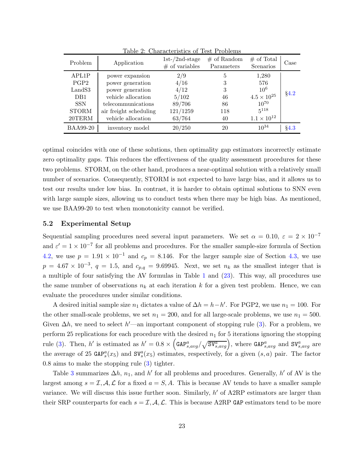| Problem          | Application            | $1st$ -/2nd-stage<br>$#$ of variables | $#$ of Random<br>Parameters | $#$ of Total<br>Scenarios | Case |
|------------------|------------------------|---------------------------------------|-----------------------------|---------------------------|------|
| APL1P            | power expansion        | 2/9                                   | 5                           | 1,280                     |      |
| PGP <sub>2</sub> | power generation       | 4/16                                  | 3                           | 576                       |      |
| LandS3           | power generation       | 4/12                                  | 3                           | $10^{6}$                  | 84.2 |
| D <sub>B1</sub>  | vehicle allocation     | 5/102                                 | 46                          | $4.5 \times 10^{25}$      |      |
| <b>SSN</b>       | telecommunications     | 89/706                                | 86                          | $10^{70}$                 |      |
| <b>STORM</b>     | air freight scheduling | 121/1259                              | 118                         | $5^{118}$                 |      |
| 20TERM           | vehicle allocation     | 63/764                                | 40                          | $1.1 \times 10^{12}$      |      |
| <b>BAA99-20</b>  | inventory model        | 20/250                                | 20                          | $10^{34}$                 | §4.3 |

<span id="page-22-1"></span>Table 2: Characteristics of Test Problems

optimal coincides with one of these solutions, then optimality gap estimators incorrectly estimate zero optimality gaps. This reduces the effectiveness of the quality assessment procedures for these two problems. STORM, on the other hand, produces a near-optimal solution with a relatively small number of scenarios. Consequently, STORM is not expected to have large bias, and it allows us to test our results under low bias. In contrast, it is harder to obtain optimal solutions to SNN even with large sample sizes, allowing us to conduct tests when there may be high bias. As mentioned, we use BAA99-20 to test when monotonicity cannot be verified.

#### <span id="page-22-0"></span>5.2 Experimental Setup

Sequential sampling procedures need several input parameters. We set  $\alpha = 0.10$ ,  $\varepsilon = 2 \times 10^{-7}$ and  $\varepsilon' = 1 \times 10^{-7}$  for all problems and procedures. For the smaller sample-size formula of Section [4.2,](#page-14-0) we use  $p = 1.91 \times 10^{-1}$  and  $c_p = 8.146$ . For the larger sample size of Section [4.3,](#page-20-5) we use  $p = 4.67 \times 10^{-3}$ ,  $q = 1.5$ , and  $c_{p,q} = 9.69945$ . Next, we set  $n_k$  as the smallest integer that is a multiple of four satisfying the AV formulas in Table [1](#page-11-1) and [\(23\)](#page-20-1). This way, all procedures use the same number of observations  $n_k$  at each iteration k for a given test problem. Hence, we can evaluate the procedures under similar conditions.

A desired initial sample size  $n_1$  dictates a value of  $\Delta h = h - h'$ . For PGP2, we use  $n_1 = 100$ . For the other small-scale problems, we set  $n_1 = 200$ , and for all large-scale problems, we use  $n_1 = 500$ . Given  $\Delta h$ , we need to select h'—an important component of stopping rule [\(3\)](#page-6-1). For a problem, we perform 25 replications for each procedure with the desired  $n_1$  for 5 iterations ignoring the stopping rule [\(3\)](#page-6-1). Then, h' is estimated as  $h' = 0.8 \times (\text{GAP}_{s,avg}^a/\sqrt{\text{SV}_{s,avg}^a})$ , where  $\text{GAP}_{s,avg}^a$  and  $\text{SV}_{s,avg}^a$  are the average of 25  $\text{GAP}_s^a(x_5)$  and  $\text{SV}_s^a(x_5)$  estimates, respectively, for a given  $(s, a)$  pair. The factor 0.8 aims to make the stopping rule [\(3\)](#page-6-1) tighter.

Table [3](#page-23-0) summarizes  $\Delta h$ ,  $n_1$ , and  $h'$  for all problems and procedures. Generally,  $h'$  of AV is the largest among  $s = \mathcal{I}, \mathcal{A}, \mathcal{L}$  for a fixed  $a = S, A$ . This is because AV tends to have a smaller sample variance. We will discuss this issue further soon. Similarly,  $h'$  of A2RP estimators are larger than their SRP counterparts for each  $s = \mathcal{I}, \mathcal{A}, \mathcal{L}$ . This is because A2RP GAP estimators tend to be more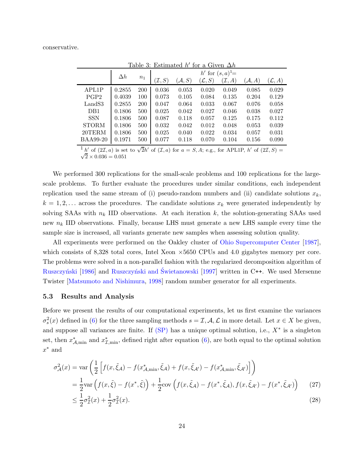conservative.

| таріс о, принцався п<br>TOT.<br>$\alpha$ and $\alpha$                                                 |                                                                              |                                                                    |                                                                      |                                                                      |                                                                      |                                                                      |                                                                      |                                                                      |  |  |  |  |
|-------------------------------------------------------------------------------------------------------|------------------------------------------------------------------------------|--------------------------------------------------------------------|----------------------------------------------------------------------|----------------------------------------------------------------------|----------------------------------------------------------------------|----------------------------------------------------------------------|----------------------------------------------------------------------|----------------------------------------------------------------------|--|--|--|--|
|                                                                                                       | $\Delta h$                                                                   | n <sub>1</sub>                                                     | $(\mathcal{I},S)$                                                    | (A, S)                                                               | $(\mathcal{L}, S)$                                                   | h' for $(s,a)^{1}$ =<br>$(\mathcal{I}, A)$                           | $(\mathcal{A},A)$                                                    | $(\mathcal{L}, A)$                                                   |  |  |  |  |
| APL1P<br>PGP <sub>2</sub><br>LandS3<br>DB1<br><b>SSN</b><br><b>STORM</b><br>20TERM<br><b>BAA99-20</b> | 0.2855<br>0.4039<br>0.2855<br>0.1806<br>0.1806<br>0.1806<br>0.1806<br>0.1971 | <b>200</b><br>100<br><b>200</b><br>500<br>500<br>500<br>500<br>500 | 0.036<br>0.073<br>0.047<br>0.025<br>0.087<br>0.032<br>0.025<br>0.077 | 0.053<br>0.105<br>0.064<br>0.042<br>0.118<br>0.042<br>0.040<br>0.118 | 0.020<br>0.084<br>0.033<br>0.027<br>0.057<br>0.012<br>0.022<br>0.070 | 0.049<br>0.135<br>0.067<br>0.046<br>0.125<br>0.048<br>0.034<br>0.104 | 0.085<br>0.204<br>0.076<br>0.038<br>0.175<br>0.053<br>0.057<br>0.156 | 0.029<br>0.129<br>0.058<br>0.027<br>0.112<br>0.039<br>0.031<br>0.090 |  |  |  |  |
|                                                                                                       |                                                                              |                                                                    | $\sqrt{2}$                                                           |                                                                      |                                                                      |                                                                      |                                                                      |                                                                      |  |  |  |  |

<span id="page-23-0"></span>Table 3: Estimated  $h'$  for a Given  $\Delta h$ 

 $\frac{1}{h}$  of (2*I*, *a*) is set to  $\sqrt{2}h'$  of (*I*, *a*) for  $a = S$ , *A*; e.g., for APL1P, h' of (2*I*, *S*) =  $\sqrt{2} \times 0.036 = 0.051$ 

We performed 300 replications for the small-scale problems and 100 replications for the largescale problems. To further evaluate the procedures under similar conditions, each independent replication used the same stream of (i) pseudo-random numbers and (ii) candidate solutions  $x_k$ ,  $k = 1, 2, \ldots$  across the procedures. The candidate solutions  $x_k$  were generated independently by solving SAAs with  $n_k$  IID observations. At each iteration k, the solution-generating SAAs used new  $n_k$  IID observations. Finally, because LHS must generate a new LHS sample every time the sample size is increased, all variants generate new samples when assessing solution quality.

All experiments were performed on the Oakley cluster of [Ohio Supercomputer Center](#page-35-18) [\[1987\]](#page-35-18), which consists of 8,328 total cores, Intel Xeon  $\times 5650$  CPUs and 4.0 gigabytes memory per core. The problems were solved in a non-parallel fashion with the regularized decomposition algorithm of Ruszczyński [\[1986\]](#page-36-17) and Ruszczyński and Świetanowski [\[1997\]](#page-36-18) written in C++. We used Mersenne Twister [\[Matsumoto and Nishimura](#page-35-19), [1998\]](#page-35-19) random number generator for all experiments.

### <span id="page-23-3"></span>5.3 Results and Analysis

Before we present the results of our computational experiments, let us first examine the variances  $\sigma_s^2(x)$  defined in [\(6\)](#page-12-1) for the three sampling methods  $s = \mathcal{I}, \mathcal{A}, \mathcal{L}$  in more detail. Let  $x \in X$  be given, and suppose all variances are finite. If  $(SP)$  has a unique optimal solution, i.e.,  $X^*$  is a singleton set, then  $x^*_{\mathcal{A},min}$  and  $x^*_{\mathcal{I},min}$ , defined right after equation [\(6\)](#page-12-1), are both equal to the optimal solution  $x^*$  and

$$
\sigma_{\mathcal{A}}^{2}(x) = \text{var}\left(\frac{1}{2}\left[f(x,\tilde{\xi}_{\mathcal{A}}) - f(x_{\mathcal{A},\min}^{*},\tilde{\xi}_{\mathcal{A}}) + f(x,\tilde{\xi}_{\mathcal{A}'}) - f(x_{\mathcal{A},\min}^{*},\tilde{\xi}_{\mathcal{A}'})\right]\right)
$$
\n
$$
= \frac{1}{2}\text{var}\left(f(x,\tilde{\xi}) - f(x^{*},\tilde{\xi})\right) + \frac{1}{2}\text{cov}\left(f(x,\tilde{\xi}_{\mathcal{A}}) - f(x^{*},\tilde{\xi}_{\mathcal{A}}),f(x,\tilde{\xi}_{\mathcal{A}'}) - f(x^{*},\tilde{\xi}_{\mathcal{A}'})\right) \tag{27}
$$
\n
$$
\leq \frac{1}{2}\sigma_{\mathcal{A}}^{2}(x) + \frac{1}{2}\sigma_{\mathcal{A}}^{2}(x) \tag{28}
$$

<span id="page-23-2"></span><span id="page-23-1"></span>
$$
\leq \frac{1}{2}\sigma_{\mathcal{I}}^2(x) + \frac{1}{2}\sigma_{\mathcal{I}}^2(x). \tag{28}
$$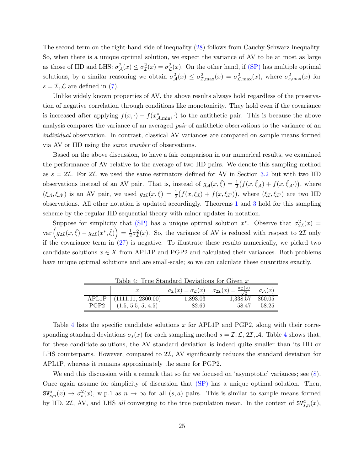The second term on the right-hand side of inequality [\(28\)](#page-23-1) follows from Cauchy-Schwarz inequality. So, when there is a unique optimal solution, we expect the variance of AV to be at most as large as those of IID and LHS:  $\sigma_{\mathcal{A}}^2(x) \leq \sigma_{\mathcal{I}}^2$  $\frac{2}{\mathcal{I}}(x) = \sigma_{\mathcal{L}}^2$  $L^2(\mathcal{L})$ . On the other hand, if [\(SP\)](#page-0-0) has multiple optimal solutions, by a similar reasoning we obtain  $\sigma^2_{\mathcal{A}}(x) \leq \sigma^2_{\mathcal{I},\text{max}}(x) = \sigma^2_{\mathcal{L},\text{max}}(x)$ , where  $\sigma^2_{s,\text{max}}(x)$  for  $s = \mathcal{I}, \mathcal{L}$  are defined in [\(7\)](#page-12-2).

Unlike widely known properties of AV, the above results always hold regardless of the preservation of negative correlation through conditions like monotonicity. They hold even if the covariance is increased after applying  $f(x, \cdot) - f(x^*_{\mathcal{A},\min}, \cdot)$  to the antithetic pair. This is because the above analysis compares the variance of an averaged *pair* of antithetic observations to the variance of an *individual* observation. In contrast, classical AV variances are compared on sample means formed via AV or IID using the *same number* of observations.

Based on the above discussion, to have a fair comparison in our numerical results, we examined the performance of AV relative to the average of two IID pairs. We denote this sampling method as  $s = 2\mathcal{I}$ . For  $2\mathcal{I}$ , we used the same estimators defined for AV in Section [3.2](#page-10-0) but with two IID observations instead of an AV pair. That is, instead of  $g_{\mathcal{A}}(x,\tilde{\xi}) = \frac{1}{2}(f(x,\tilde{\xi}_{\mathcal{A}}) + f(x,\tilde{\xi}_{\mathcal{A'}}))$ , where  $(\tilde{\xi}_A, \tilde{\xi}_{A'})$  is an AV pair, we used  $g_{2\mathcal{I}}(x,\tilde{\xi}) = \frac{1}{2}(f(x,\tilde{\xi}_{\mathcal{I}}) + f(x,\tilde{\xi}_{\mathcal{I}'})$ , where  $(\tilde{\xi}_{\mathcal{I}}, \tilde{\xi}_{\mathcal{I}'})$  are two IID observations. All other notation is updated accordingly. Theorems [1](#page-16-0) and [3](#page-20-6) hold for this sampling scheme by the regular IID sequential theory with minor updates in notation.

Suppose for simplicity that [\(SP\)](#page-0-0) has a unique optimal solution  $x^*$ . Observe that  $\sigma_{2\mathcal{I}}^2(x) =$  $\text{var}\left(g_{2\mathcal{I}}(x,\tilde{\xi})-g_{2\mathcal{I}}(x^*,\tilde{\xi})\right)=\frac{1}{2}$  $rac{1}{2}\sigma_{\mathcal{I}}^2$  $\frac{2}{\mathcal{I}}(x)$ . So, the variance of AV is reduced with respect to 2*T* only if the covariance term in  $(27)$  is negative. To illustrate these results numerically, we picked two candidate solutions  $x \in X$  from APL1P and PGP2 and calculated their variances. Both problems have unique optimal solutions and are small-scale; so we can calculate these quantities exactly.

<span id="page-24-0"></span>

| Table 4: True Standard Deviations for Given $x$ |                                                |          |                                                                                                                                                     |       |  |  |  |  |  |  |
|-------------------------------------------------|------------------------------------------------|----------|-----------------------------------------------------------------------------------------------------------------------------------------------------|-------|--|--|--|--|--|--|
|                                                 |                                                |          | $\sigma_{\mathcal{I}}(x) = \sigma_{\mathcal{L}}(x)$ $\sigma_{2\mathcal{I}}(x) = \frac{\sigma_{\mathcal{I}}(x)}{\sqrt{2}}$ $\sigma_{\mathcal{A}}(x)$ |       |  |  |  |  |  |  |
|                                                 | $\overline{\text{APL1P}}$ $(1111.11, 2300.00)$ | 1,893.03 | 1,338.57 860.05                                                                                                                                     |       |  |  |  |  |  |  |
|                                                 | PGP2 $(1.5, 5.5, 5, 4.5)$                      | 82.69    | 58.47                                                                                                                                               | 58.25 |  |  |  |  |  |  |

Table [4](#page-24-0) lists the specific candidate solutions x for APL1P and PGP2, along with their corresponding standard deviations  $\sigma_s(x)$  for each sampling method  $s = \mathcal{I}, \mathcal{L}, 2\mathcal{I}, \mathcal{A}$ . Table [4](#page-24-0) shows that, for these candidate solutions, the AV standard deviation is indeed quite smaller than its IID or LHS counterparts. However, compared to  $2\mathcal{I}$ , AV significantly reduces the standard deviation for APL1P, whereas it remains approximately the same for PGP2.

We end this discussion with a remark that so far we focused on 'asymptotic' variances; see [\(8\)](#page-12-0). Once again assume for simplicity of discussion that [\(SP\)](#page-0-0) has a unique optimal solution. Then,  $\mathsf{SV}_{s,n}^a(x) \to \sigma_s^2(x)$ , w.p.1 as  $n \to \infty$  for all  $(s,a)$  pairs. This is similar to sample means formed by IID, 2Z, AV, and LHS *all* converging to the true population mean. In the context of  $\mathsf{SV}_{s,n}^a(x)$ ,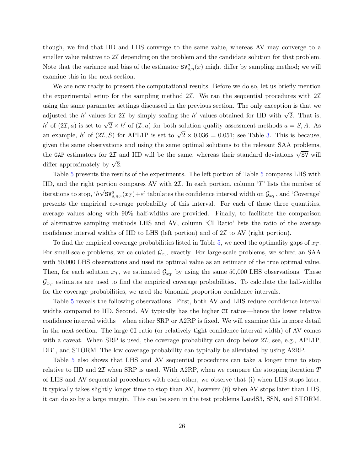though, we find that IID and LHS converge to the same value, whereas AV may converge to a smaller value relative to  $2\mathcal{I}$  depending on the problem and the candidate solution for that problem. Note that the variance and bias of the estimator  $\mathbf{S}V_{s,n}^a(x)$  might differ by sampling method; we will examine this in the next section.

We are now ready to present the computational results. Before we do so, let us briefly mention the experimental setup for the sampling method  $2\mathcal{I}$ . We ran the sequential procedures with  $2\mathcal{I}$ using the same parameter settings discussed in the previous section. The only exception is that we adjusted the h' values for  $2\mathcal{I}$  by simply scaling the h' values obtained for IID with  $\sqrt{2}$ . That is, h' of  $(2\mathcal{I},a)$  is set to  $\sqrt{2} \times h'$  of  $(\mathcal{I},a)$  for both solution quality assessment methods  $a = S, A$ . As an example, h' of  $(2\mathcal{I}, S)$  for APL1P is set to  $\sqrt{2} \times 0.036 = 0.051$ ; see Table [3.](#page-23-0) This is because, given the same observations and using the same optimal solutions to the relevant SAA problems, the GAP estimators for 2Z and IID will be the same, whereas their standard deviations  $\sqrt{SV}$  will differ approximately by  $\sqrt{2}$ .

Table [5](#page-26-0) presents the results of the experiments. The left portion of Table [5](#page-26-0) compares LHS with IID, and the right portion compares AV with  $2\mathcal{I}$ . In each portion, column  $T'$  lists the number of iterations to stop,  $h\sqrt{SV^a_{s,n_T}(x_T)}+\varepsilon$ ' tabulates the confidence interval width on  $\mathcal{G}_{x_T}$ , and 'Coverage' presents the empirical coverage probability of this interval. For each of these three quantities, average values along with 90% half-widths are provided. Finally, to facilitate the comparison of alternative sampling methods LHS and AV, column 'CI Ratio' lists the ratio of the average confidence interval widths of IID to LHS (left portion) and of  $2\mathcal{I}$  to AV (right portion).

To find the empirical coverage probabilities listed in Table [5,](#page-26-0) we need the optimality gaps of  $x_T$ . For small-scale problems, we calculated  $\mathcal{G}_{x_T}$  exactly. For large-scale problems, we solved an SAA with 50,000 LHS observations and used its optimal value as an estimate of the true optimal value. Then, for each solution  $x_T$ , we estimated  $\mathcal{G}_{x_T}$  by using the same 50,000 LHS observations. These  $\mathcal{G}_{x_T}$  estimates are used to find the empirical coverage probabilities. To calculate the half-widths for the coverage probabilities, we used the binomial proportion confidence intervals.

Table [5](#page-26-0) reveals the following observations. First, both AV and LHS reduce confidence interval widths compared to IID. Second, AV typically has the higher CI ratios—hence the lower relative confidence interval widths—when either SRP or A2RP is fixed. We will examine this in more detail in the next section. The large CI ratio (or relatively tight confidence interval width) of AV comes with a caveat. When SRP is used, the coverage probability can drop below  $2\mathcal{I}$ ; see, e.g., APL1P, DB1, and STORM. The low coverage probability can typically be alleviated by using A2RP.

Table [5](#page-26-0) also shows that LHS and AV sequential procedures can take a longer time to stop relative to IID and  $2\mathcal{I}$  when SRP is used. With A2RP, when we compare the stopping iteration  $T$ of LHS and AV sequential procedures with each other, we observe that (i) when LHS stops later, it typically takes slightly longer time to stop than AV, however (ii) when AV stops later than LHS, it can do so by a large margin. This can be seen in the test problems LandS3, SSN, and STORM.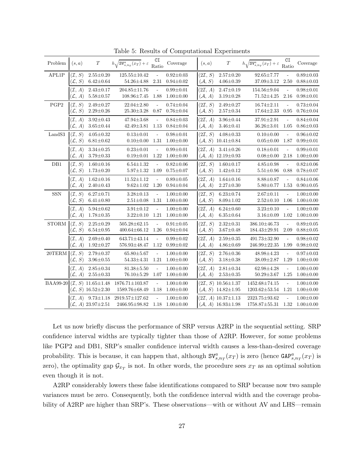| Problem          | (s,a)                                    | $\cal T$                                                                | $h\sqrt{\mathrm{SV}^a_{s,n_T}(x_T)}+\varepsilon$ | CI<br>Ratio                      | Coverage                           | (s,a)                                     | $\cal T$                                                    | $h\sqrt{\mathrm{SV}^a_{s,n_T}(x_T)}+\varepsilon$ | CI<br>$_{\rm Ratio}$             | Coverage                           |
|------------------|------------------------------------------|-------------------------------------------------------------------------|--------------------------------------------------|----------------------------------|------------------------------------|-------------------------------------------|-------------------------------------------------------------|--------------------------------------------------|----------------------------------|------------------------------------|
| APL1P            | $(\mathcal{I}, S)$<br>$(\mathcal{L}, S)$ | $2.55 \pm 0.20$<br>$6.42 \pm 0.64$                                      | $125.55 \pm 10.42$<br>$54.26 \pm 4.88$           | $2.31\,$                         | $0.92 \pm 0.03$<br>$0.94 \pm 0.02$ | $(2\mathcal{I}, S)$<br>(A, S)             | $2.57{\pm}0.20$<br>$4.06 \pm 0.39$                          | $92.65 \pm 7.77$<br>$37.09 \pm 3.12$             | L,<br>$2.50\,$                   | $0.89 + 0.03$<br>$0.88 \pm 0.03$   |
|                  | $(\mathcal{I}, A)$<br>$(\mathcal{L}, A)$ | $2.43 \pm 0.17$<br>$5.58 \pm 0.57$                                      | 204.85±11.76<br>$108.96 \pm 7.45$                | $\overline{\phantom{a}}$<br>1.88 | $0.99{\pm}0.01$<br>$1.00 \pm 0.00$ | $(2\mathcal{I}, A)$<br>(A, A)             | $2.47 \pm 0.19$<br>$3.19 \pm 0.28$                          | $154.56 \pm 9.04$<br>$71.52 \pm 4.25$            | $\overline{\phantom{a}}$<br>2.16 | $0.98 + 0.01$<br>$0.98 \pm 0.01$   |
| PGP2             | $(\mathcal{I}, S)$<br>$(\mathcal{L}, S)$ | $2.49 \pm 0.27$<br>$2.29 \pm 0.26$                                      | $22.04 \pm 2.80$<br>$25.30 \pm 3.28$             | $\Box$<br>0.87                   | $0.74 \pm 0.04$<br>$0.76 \pm 0.04$ | $(2\mathcal{I}, S)$<br>(A, S)             | $2.49 \pm 0.27$<br>$2.57{\pm}0.34$                          | $16.74 \pm 2.11$<br>$17.64 \pm 2.33$             | $\bar{\phantom{a}}$<br>0.95      | $0.73 \pm 0.04$<br>$0.76 \pm 0.04$ |
|                  | $(\mathcal{I}, A)$<br>$(\mathcal{L}, A)$ | $3.92 \pm 0.43$<br>$3.65 \pm 0.44$                                      | $47.94 \pm 3.68$<br>$42.49 \pm 3.81$             | 1.13                             | $0.84 \pm 0.03$<br>$0.84 \pm 0.04$ | $(2\mathcal{I}, A)$<br>$(\mathcal{A}, A)$ | $3.96 \pm 0.44$<br>$3.46 \pm 0.41$                          | $37.91 \pm 2.91$<br>$36.26 \pm 3.01$             | $\overline{\phantom{0}}$<br>1.05 | $0.84 \pm 0.04$<br>$0.86 \pm 0.03$ |
| LandS3           | $(\mathcal{I}, S)$<br>$(\mathcal{L}, S)$ | $4.05 \pm 0.32$<br>$6.81 \pm 0.62$                                      | $0.13 \pm 0.01$<br>$0.10 \pm 0.00$               | $\Box$<br>$1.31\,$               | $0.98 + 0.01$<br>$1.00 \pm 0.00$   | $(2\mathcal{I}, S)$<br>(A, S)             | $4.08 \pm 0.33$<br>$10.41 \pm 0.84$                         | $0.10 + 0.00$<br>$0.05 \pm 0.00$                 | $\Box$<br>1.87                   | $0.96 \pm 0.02$<br>$0.99 \pm 0.01$ |
|                  | $(\mathcal{I}, A)$<br>$(\mathcal{L}, A)$ | $3.34 \pm 0.25$<br>$3.79 \pm 0.33$                                      | $0.23 \pm 0.01$<br>$0.19 + 0.01$                 | 1.22                             | $0.99 \pm 0.01$<br>$1.00 \pm 0.00$ | $(2\mathcal{I}, A)$                       | $3.41 \pm 0.26$<br>$(A, A)$ 12.19 $\pm$ 0.93                | $0.18 \pm 0.01$<br>$0.08 + 0.00$                 | $\overline{a}$<br>2.18           | $0.99 \pm 0.01$<br>$1.00 \pm 0.00$ |
| DB1              | $(\mathcal{I}, S)$<br>$(\mathcal{L}, S)$ | $1.60 \pm 0.16$<br>$1.73 \pm 0.20$                                      | $6.54 \pm 1.32$<br>$5.97 \pm 1.32$               | $\overline{a}$<br>1.09           | $0.82 \pm 0.06$<br>$0.75 \pm 0.07$ | $(2\mathcal{I}, S)$<br>(A, S)             | $1.60 \pm 0.17$<br>$1.42 \pm 0.12$                          | $4.85 \pm 0.98$<br>$5.51 \pm 0.96$               | $\frac{1}{2}$<br>0.88            | $0.82 \pm 0.06$<br>$0.78 + 0.07$   |
|                  | $(\mathcal{I}, A)$<br>$(\mathcal{L}, A)$ | $1.62 \pm 0.16$<br>$2.40 \pm 0.43$                                      | $11.52 \pm 1.12$<br>$9.62 \pm 1.02$              | $\overline{\phantom{a}}$<br>1.20 | $0.89 + 0.05$<br>$0.94 \pm 0.04$   | $(2\mathcal{I}, A)$<br>(A, A)             | $1.64 \pm 0.16$<br>$2.27 \pm 0.30$                          | $8.88{\pm}0.87$<br>$5.80 \pm 0.77$               | $\frac{1}{2}$<br>1.53            | $0.84 + 0.06$<br>$0.90 \pm 0.05$   |
| SSN              | $(\mathcal{I}, S)$<br>$(\mathcal{L}, S)$ | $6.27 \pm 0.71$<br>$6.41 \pm 0.80$                                      | $3.28 \pm 0.13$<br>$2.51 \pm 0.08$               | $\equiv$<br>$1.31\,$             | $1.00 \pm 0.00$<br>$1.00 \pm 0.00$ | $(2\mathcal{I}, S)$<br>(A, S)             | $6.23 \pm 0.74$<br>$8.09 \pm 1.02$                          | $2.67 \pm 0.11$<br>$2.52{\pm}0.10$               | $\frac{1}{2}$<br>1.06            | $1.00 \pm 0.00$<br>$1.00 \pm 0.00$ |
|                  | $(\mathcal{I}, A)$<br>$(\mathcal{L}, A)$ | $5.94 \pm 0.62$<br>$1.78 \pm 0.35$                                      | $3.91 \pm 0.12$<br>$3.22 \pm 0.10$               | $\bar{\mathcal{L}}$<br>1.21      | $1.00 \pm 0.00$<br>$1.00 \pm 0.00$ | $(2\mathcal{I}, A)$<br>(A, A)             | $6.24 \pm 0.60$<br>$6.35 \pm 0.64$                          | $3.23 \pm 0.10$<br>$3.16 \pm 0.09$               | $\bar{\mathcal{L}}$<br>1.02      | $1.00 \pm 0.00$<br>$1.00 \pm 0.00$ |
| <b>STORM</b>     | $(\mathcal{I}, S)$<br>$(\mathcal{L}, S)$ | $2.25 \pm 0.29$<br>$6.54 \pm 0.95$                                      | $505.28 \pm 62.15$<br>$400.64 \pm 66.12$         | $\overline{a}$<br>1.26           | $0.91 \pm 0.05$<br>$0.94 \pm 0.04$ | $(2\mathcal{I}, S)$<br>(A, S)             | $2.32 \pm 0.31$<br>$3.67 \pm 0.48$                          | $386.10 \pm 46.73$<br>$184.43 \pm 29.91$         | $\overline{a}$<br>2.09           | $0.89 + 0.05$<br>$0.88 \pm 0.05$   |
|                  | $(\mathcal{I}, A)$<br>$(\mathcal{L}, A)$ | $2.69 \pm 0.40$<br>$1.92 \pm 0.27$                                      | 643.71±43.14<br>$576.93 \pm 48.47$               | 1.12                             | $0.99{\pm}0.02$<br>$0.99 \pm 0.02$ | $(2\mathcal{I},\,A)$<br>(A, A)            | $2.59 \pm 0.35$<br>$4.86 \pm 0.69$                          | $491.73 \pm 32.90$<br>$246.99 {\pm} 22.35$       | $\overline{a}$<br>1.99           | $0.98 \pm 0.02$<br>$0.98 + 0.02$   |
| $20 \text{TERM}$ | $(\mathcal{I}, S)$<br>$(\mathcal{L}, S)$ | $2.79 \pm 0.37$<br>$3.96 \pm 0.55$                                      | $65.80 \pm 5.67$<br>$54.33 \pm 4.31$             | $\overline{a}$<br>1.21           | $1.00 \pm 0.00$<br>$1.00 \pm 0.00$ | $(2\mathcal{I}, S)$<br>(A, S)             | $2.76 \pm 0.36$<br>$3.18 \pm 0.38$                          | $48.98 \pm 4.23$<br>$38.09 \pm 2.87$             | $\overline{\phantom{0}}$<br>1.29 | $0.97 + 0.03$<br>$1.00 \pm 0.00$   |
|                  | $(\mathcal{I}, A)$<br>$(\mathcal{L}, A)$ | $2.85 \pm 0.34$<br>$2.55 \pm 0.33$                                      | $81.38 \pm 5.50$<br>$76.10 \pm 5.29$             | $\sim$<br>1.07                   | $1.00 \pm 0.00$<br>$1.00 \pm 0.00$ | $(2\mathcal{I}, A)$<br>(A, A)             | $2.81 \pm 0.34$<br>$2.53 \pm 0.35$                          | $62.98 \pm 4.28$<br>$50.29 \pm 3.67$             | $\frac{1}{2}$<br>$1.25\,$        | $1.00 \pm 0.00$<br>$1.00{\pm}0.00$ |
|                  |                                          | BAA99-20 $(\mathcal{I}, S)$ 11.65±1.48<br>$(\mathcal{L}, S)$ 16.52±2.30 | 1876.71±103.87<br>1589.76±68.49                  | $\overline{\phantom{a}}$<br>1.18 | $1.00 \pm 0.00$<br>$1.00 \pm 0.00$ |                                           | $(2\mathcal{I}, S) 10.56 \pm 1.37$<br>$(A, S)$ 14.82±1.95   | $1452.68 \pm 74.15$<br>$1203.62 \pm 53.54$       | $\Box$<br>1.21                   | $1.00 \pm 0.00$<br>$1.00 \pm 0.00$ |
|                  | $(\mathcal{I}, A)$                       | $9.73 \pm 1.18$<br>$({\cal L}, A)$ 23.97 $\pm$ 2.51                     | 2919.57±127.62<br>2466.95±98.82                  | $\bar{\phantom{a}}$<br>1.18      | $1.00 \pm 0.00$<br>$1.00 \pm 0.00$ |                                           | $(2\mathcal{I}, A)$ 10.37 $\pm$ 1.13<br>$(A, A)$ 16.93±1.98 | $2323.75 \pm 93.62$<br>$1758.87 \pm 55.31$       | $\frac{1}{2}$<br>1.32            | $1.00 \pm 0.00$<br>$1.00 \pm 0.00$ |

<span id="page-26-0"></span>Table 5: Results of Computational Experiments

Let us now briefly discuss the performance of SRP versus A2RP in the sequential setting. SRP confidence interval widths are typically tighter than those of A2RP. However, for some problems like PGP2 and DB1, SRP's smaller confidence interval width causes a less-than-desired coverage probability. This is because, it can happen that, although  $\text{SV}_{s,n_T}^a(x_T)$  is zero (hence  $\text{GAP}_{s,n_T}^a(x_T)$  is zero), the optimality gap  $\mathcal{G}_{x_T}$  is not. In other words, the procedure sees  $x_T$  as an optimal solution even though it is not.

A2RP considerably lowers these false identifications compared to SRP because now two sample variances must be zero. Consequently, both the confidence interval width and the coverage probability of A2RP are higher than SRP's. These observations—with or without AV and LHS—remain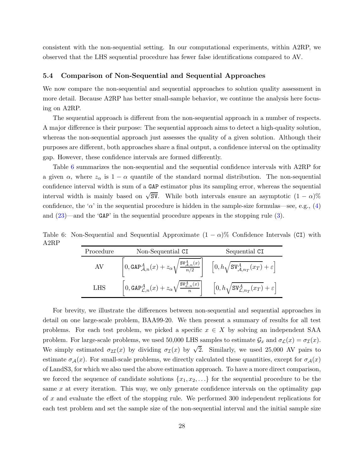consistent with the non-sequential setting. In our computational experiments, within A2RP, we observed that the LHS sequential procedure has fewer false identifications compared to AV.

### 5.4 Comparison of Non-Sequential and Sequential Approaches

We now compare the non-sequential and sequential approaches to solution quality assessment in more detail. Because A2RP has better small-sample behavior, we continue the analysis here focusing on A2RP.

The sequential approach is different from the non-sequential approach in a number of respects. A major difference is their purpose: The sequential approach aims to detect a high-quality solution, whereas the non-sequential approach just assesses the quality of a given solution. Although their purposes are different, both approaches share a final output, a confidence interval on the optimality gap. However, these confidence intervals are formed differently.

Table [6](#page-27-0) summarizes the non-sequential and the sequential confidence intervals with A2RP for a given  $\alpha$ , where  $z_{\alpha}$  is  $1 - \alpha$  quantile of the standard normal distribution. The non-sequential confidence interval width is sum of a GAP estimator plus its sampling error, whereas the sequential interval width is mainly based on  $\sqrt{SV}$ . While both intervals ensure an asymptotic  $(1 - \alpha)$ % confidence, the ' $\alpha$ ' in the sequential procedure is hidden in the sample-size formulas—see, e.g., [\(4\)](#page-7-2) and [\(23\)](#page-20-1)—and the 'GAP' in the sequential procedure appears in the stopping rule [\(3\)](#page-6-1).

Table 6: Non-Sequential and Sequential Approximate  $(1 - \alpha)$ % Confidence Intervals (CI) with A2RP

<span id="page-27-0"></span>

| Procedure  | Non-Sequential CI                                                                                                                                                                           | Sequential CI                                                               |
|------------|---------------------------------------------------------------------------------------------------------------------------------------------------------------------------------------------|-----------------------------------------------------------------------------|
| AV         | $\left[0, \text{GAP}_{\mathcal{A},n}^A(x)+z_{\alpha}\sqrt{\frac{\text{sv}_{\mathcal{A},n}^A(x)}{n/2}}\right].$                                                                              | $\left[0,h\sqrt{\mathtt{SV}^{A}_{\mathcal{A},n_T}(x_T)}+\varepsilon\right]$ |
| <b>LHS</b> | $\left[0, \text{GAP}_{\mathcal{L},n}^A(x) + z_\alpha \sqrt{\frac{\text{SV}_{\mathcal{L},n}^A(x)}{n}}\right] \quad \left[0, h\sqrt{\text{SV}_{\mathcal{L},n_T}^A(x_T)} + \varepsilon\right]$ |                                                                             |

For brevity, we illustrate the differences between non-sequential and sequential approaches in detail on one large-scale problem, BAA99-20. We then present a summary of results for all test problems. For each test problem, we picked a specific  $x \in X$  by solving an independent SAA problem. For large-scale problems, we used 50,000 LHS samples to estimate  $\mathcal{G}_x$  and  $\sigma_{\mathcal{L}}(x) = \sigma_{\mathcal{I}}(x)$ . We simply estimated  $\sigma_{2\mathcal{I}}(x)$  by dividing  $\sigma_{\mathcal{I}}(x)$  by  $\sqrt{2}$ . Similarly, we used 25,000 AV pairs to estimate  $\sigma_{\mathcal{A}}(x)$ . For small-scale problems, we directly calculated these quantities, except for  $\sigma_{\mathcal{A}}(x)$ of LandS3, for which we also used the above estimation approach. To have a more direct comparison, we forced the sequence of candidate solutions  $\{x_1, x_2, \ldots\}$  for the sequential procedure to be the same x at every iteration. This way, we only generate confidence intervals on the optimality gap of x and evaluate the effect of the stopping rule. We performed 300 independent replications for each test problem and set the sample size of the non-sequential interval and the initial sample size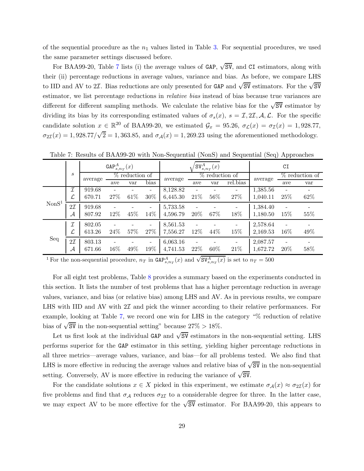of the sequential procedure as the  $n_1$  values listed in Table [3.](#page-23-0) For sequential procedures, we used the same parameter settings discussed before.

For BAA99-20, Table [7](#page-28-0) lists (i) the average values of  $GAP$ ,  $\sqrt{SV}$ , and CI estimators, along with their (ii) percentage reductions in average values, variance and bias. As before, we compare LHS to IID and AV to 2Z. Bias reductions are only presented for GAP and  $\sqrt{SV}$  estimators. For the  $\sqrt{SV}$ estimator, we list percentage reductions in *relative bias* instead of bias because true variances are different for different sampling methods. We calculate the relative bias for the  $\sqrt{SV}$  estimator by dividing its bias by its corresponding estimated values of  $\sigma_s(x)$ ,  $s = \mathcal{I}, 2\mathcal{I}, \mathcal{A}, \mathcal{L}$ . For the specific candidate solution  $x \in \mathbb{R}^{20}$  of BAA99-20, we estimated  $\mathcal{G}_x = 95.26$ ,  $\sigma_{\mathcal{L}}(x) = \sigma_{\mathcal{I}}(x) = 1,928.77$ ,  $\sigma_{2\mathcal{I}}(x) = 1,928.77/\sqrt{2} = 1,363.85$ , and  $\sigma_{\mathcal{A}}(x) = 1,269.23$  using the aforementioned methodology.

|                   |                                                                           |         | $\mathtt{GAP}^{A}_{s,n_T}(x)$ |                  |                          | $\sqrt{\texttt{SV}}^A_{s,n_T}(x)$ |                  |      |                          | СI       |     |                  |
|-------------------|---------------------------------------------------------------------------|---------|-------------------------------|------------------|--------------------------|-----------------------------------|------------------|------|--------------------------|----------|-----|------------------|
|                   | $\mathcal{S}_{\mathcal{S}}$                                               | average |                               | $%$ reduction of |                          |                                   | $%$ reduction of |      |                          |          |     | $%$ reduction of |
|                   |                                                                           |         | ave                           | var              | bias                     | average                           | ave              | var  | rel.bias                 | average  | ave | var              |
|                   | I                                                                         | 919.68  |                               |                  | $\overline{\phantom{a}}$ | 8,128.82                          |                  |      | $\overline{a}$           | 1,385.56 |     |                  |
| NonS <sup>1</sup> | $\mathcal{L}% _{G}=\mathcal{L}_{G}$                                       | 670.71  | 27%                           | 61\%             | 30%                      | 6,445.30                          | $21\%$           | 56%  | $27\%$                   | 1,040.11 | 25% | 62%              |
|                   | $2\mathcal{I}$                                                            | 919.68  |                               |                  | $\overline{\phantom{a}}$ | 5,733.58                          |                  |      | $\overline{\phantom{a}}$ | 1,384.40 |     |                  |
|                   | ${\cal A}$                                                                | 807.92  | 12%                           | 45%              | $14\%$                   | 4,596.79                          | 20%              | 67%  | 18%                      | 1,180.50 | 15% | 55%              |
|                   | $\mathcal I$                                                              | 802.05  |                               |                  | $\overline{\phantom{a}}$ | 8,561.53                          |                  |      | $\qquad \qquad -$        | 2,578.64 |     |                  |
|                   | $\mathcal{L}% _{G}(\theta)=\left( \mathcal{L}_{G}(\theta)\right) ^{\ast}$ | 613.26  | 24\%                          | 57%              | 27\%                     | 7,556.27                          | 12%              | 44\% | $15\%$                   | 2,169.53 | 16% | 49%              |
| Seq               | $2\mathcal{I}$                                                            | 803.13  |                               |                  | $\overline{\phantom{a}}$ | 6,063.16                          |                  |      | $\qquad \qquad -$        | 2,087.57 |     |                  |
|                   | ${\cal A}$                                                                | 671.66  | 16\%                          | 49%              | 19%                      | 4,741.53                          | 22%              | 60%  | $21\%$                   | 1,672.72 | 20% | 58\%             |

<span id="page-28-0"></span>Table 7: Results of BAA99-20 with Non-Sequential (NonS) and Sequential (Seq) Approaches

<sup>1</sup> For the non-sequential procedure,  $n_T$  in  $\text{GAP}_{s,n_T}^A(x)$  and  $\sqrt{\text{SV}_{s,n_T}^A(x)}$  is set to  $n_T = 500$ 

For all eight test problems, Table [8](#page-29-0) provides a summary based on the experiments conducted in this section. It lists the number of test problems that has a higher percentage reduction in average values, variance, and bias (or relative bias) among LHS and AV. As in previous results, we compare LHS with IID and AV with  $2\mathcal{I}$  and pick the winner according to their relative performances. For example, looking at Table [7,](#page-28-0) we record one win for LHS in the category "% reduction of relative bias of  $\sqrt{SV}$  in the non-sequential setting" because  $27\% > 18\%$ .

Let us first look at the individual GAP and  $\sqrt{SV}$  estimators in the non-sequential setting. LHS performs superior for the GAP estimator in this setting, yielding higher percentage reductions in all three metrics—average values, variance, and bias—for all problems tested. We also find that LHS is more effective in reducing the average values and relative bias of  $\sqrt{SV}$  in the non-sequential setting. Conversely, AV is more effective in reducing the variance of  $\sqrt{SV}$ .

For the candidate solutions  $x \in X$  picked in this experiment, we estimate  $\sigma_{\mathcal{A}}(x) \approx \sigma_{2\mathcal{I}}(x)$  for five problems and find that  $\sigma_{\mathcal{A}}$  reduces  $\sigma_{2\mathcal{I}}$  to a considerable degree for three. In the latter case, we may expect AV to be more effective for the  $\sqrt{SV}$  estimator. For BAA99-20, this appears to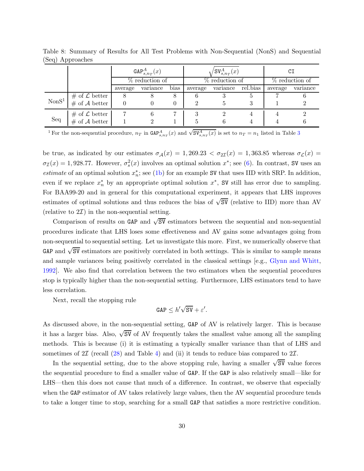|                   |                                        |                  | $\mathtt{GAP}^{A}_{s,n_T}(x)$ |      |         | $/\mathtt{SV}^A_{s,n_T}(x)$ | СI             |         |          |
|-------------------|----------------------------------------|------------------|-------------------------------|------|---------|-----------------------------|----------------|---------|----------|
|                   |                                        | $%$ reduction of |                               |      |         | $%$ reduction of            | % reduction of |         |          |
|                   |                                        | average          | variance                      | bias | average | variance                    | rel.bias       | average | variance |
|                   | $#$ of $L$ better<br>$#$ of $A$ better |                  |                               | 8    |         |                             |                |         |          |
| $\mathrm{NonS}^1$ |                                        |                  |                               |      |         |                             |                |         |          |
|                   | # of $\mathcal L$ better               |                  |                               |      |         |                             |                |         |          |
| Seq               | # of $A$ better                        |                  |                               |      |         |                             |                |         |          |

<span id="page-29-0"></span>Table 8: Summary of Results for All Test Problems with Non-Sequential (NonS) and Sequential (Seq) Approaches

<sup>1</sup> For the non-sequential procedure,  $n_T$  in  $\text{GAP}_{s,n_T}^A(x)$  and  $\sqrt{\text{SV}_{s,n_T}^A(x)}$  is set to  $n_T = n_1$  listed in Table [3](#page-23-0)

be true, as indicated by our estimates  $\sigma_{\mathcal{A}}(x) = 1,269.23 < \sigma_{2\mathcal{I}}(x) = 1,363.85$  whereas  $\sigma_{\mathcal{L}}(x) =$  $\sigma_{\mathcal{I}}(x) = 1,928.77$ . However,  $\sigma_s^2(x)$  involves an optimal solution  $x^*$ ; see [\(6\)](#page-12-1). In contrast, SV uses an *estimate* of an optimal solution  $x_n^*$ ; see [\(1b\)](#page-5-4) for an example SV that uses IID with SRP. In addition, even if we replace  $x_n^*$  by an appropriate optimal solution  $x^*$ , SV still has error due to sampling. For BAA99-20 and in general for this computational experiment, it appears that LHS improves estimates of optimal solutions and thus reduces the bias of  $\sqrt{SV}$  (relative to IID) more than AV (relative to  $2\mathcal{I}$ ) in the non-sequential setting.

Comparison of results on GAP and  $\sqrt{SV}$  estimators between the sequential and non-sequential procedures indicate that LHS loses some effectiveness and AV gains some advantages going from non-sequential to sequential setting. Let us investigate this more. First, we numerically observe that GAP and  $\sqrt{SV}$  estimators are positively correlated in both settings. This is similar to sample means and sample variances being positively correlated in the classical settings [e.g., [Glynn and Whitt](#page-34-11), [1992\]](#page-34-11). We also find that correlation between the two estimators when the sequential procedures stop is typically higher than the non-sequential setting. Furthermore, LHS estimators tend to have less correlation.

Next, recall the stopping rule

$$
GAP \leq h' \sqrt{SV} + \varepsilon'.
$$

As discussed above, in the non-sequential setting, GAP of AV is relatively larger. This is because it has a larger bias. Also,  $\sqrt{SV}$  of AV frequently takes the smallest value among all the sampling methods. This is because (i) it is estimating a typically smaller variance than that of LHS and sometimes of  $2\mathcal{I}$  (recall  $(28)$  and Table [4\)](#page-24-0) and (ii) it tends to reduce bias compared to  $2\mathcal{I}$ .

In the sequential setting, due to the above stopping rule, having a smaller  $\sqrt{SV}$  value forces the sequential procedure to find a smaller value of GAP. If the GAP is also relatively small—like for LHS—then this does not cause that much of a difference. In contrast, we observe that especially when the GAP estimator of AV takes relatively large values, then the AV sequential procedure tends to take a longer time to stop, searching for a small GAP that satisfies a more restrictive condition.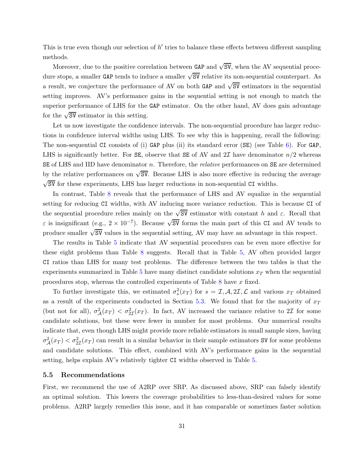This is true even though our selection of  $h'$  tries to balance these effects between different sampling methods.

Moreover, due to the positive correlation between GAP and  $\sqrt{SV}$ , when the AV sequential procedure stops, a smaller GAP tends to induce a smaller  $\sqrt{SV}$  relative its non-sequential counterpart. As a result, we conjecture the performance of AV on both GAP and  $\sqrt{SV}$  estimators in the sequential setting improves. AV's performance gains in the sequential setting is not enough to match the superior performance of LHS for the GAP estimator. On the other hand, AV does gain advantage for the  $\sqrt{SV}$  estimator in this setting.

Let us now investigate the confidence intervals. The non-sequential procedure has larger reductions in confidence interval widths using LHS. To see why this is happening, recall the following: The non-sequential CI consists of (i) GAP plus (ii) its standard error (SE) (see Table [6\)](#page-27-0). For GAP, LHS is significantly better. For SE, observe that SE of AV and 2Z have denominator  $n/2$  whereas SE of LHS and IID have denominator n. Therefore, the *relative* performances on SE are determined by the relative performances on  $\sqrt{SV}$ . Because LHS is also more effective in reducing the average  $\sqrt{\text{SV}}$  for these experiments, LHS has larger reductions in non-sequential CI widths.

In contrast, Table [8](#page-29-0) reveals that the performance of LHS and AV equalize in the sequential setting for reducing CI widths, with AV inducing more variance reduction. This is because CI of the sequential procedure relies mainly on the  $\sqrt{SV}$  estimator with constant h and  $\varepsilon$ . Recall that  $\varepsilon$  is insignificant (e.g.,  $2 \times 10^{-7}$ ). Because  $\sqrt{SV}$  forms the main part of this CI and AV tends to produce smaller  $\sqrt{SV}$  values in the sequential setting, AV may have an advantage in this respect.

The results in Table [5](#page-26-0) indicate that AV sequential procedures can be even more effective for these eight problems than Table [8](#page-29-0) suggests. Recall that in Table [5,](#page-26-0) AV often provided larger CI ratios than LHS for many test problems. The difference between the two tables is that the experiments summarized in Table [5](#page-26-0) have many distinct candidate solutions  $x_T$  when the sequential procedures stop, whereas the controlled experiments of Table [8](#page-29-0) have x fixed.

To further investigate this, we estimated  $\sigma_s^2(x_T)$  for  $s = \mathcal{I}, \mathcal{A}, 2\mathcal{I}, \mathcal{L}$  and various  $x_T$  obtained as a result of the experiments conducted in Section [5.3.](#page-23-3) We found that for the majority of  $x_T$ (but not for all),  $\sigma^2_A(x_T) < \sigma^2_{2I}(x_T)$ . In fact, AV increased the variance relative to 2*I* for some candidate solutions, but these were fewer in number for most problems. Our numerical results indicate that, even though LHS might provide more reliable estimators in small sample sizes, having  $\sigma_{\mathcal{A}}^2(x_T) < \sigma_{2\mathcal{I}}^2(x_T)$  can result in a similar behavior in their sample estimators SV for some problems and candidate solutions. This effect, combined with AV's performance gains in the sequential setting, helps explain AV's relatively tighter CI widths observed in Table [5.](#page-26-0)

#### 5.5 Recommendations

First, we recommend the use of A2RP over SRP. As discussed above, SRP can falsely identify an optimal solution. This lowers the coverage probabilities to less-than-desired values for some problems. A2RP largely remedies this issue, and it has comparable or sometimes faster solution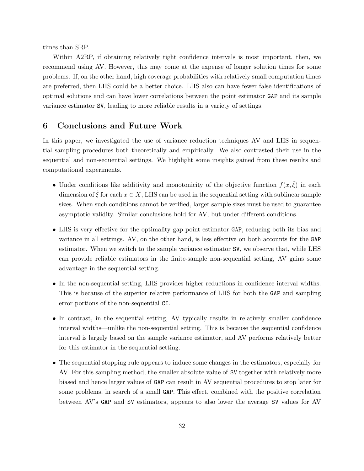times than SRP.

Within A2RP, if obtaining relatively tight confidence intervals is most important, then, we recommend using AV. However, this may come at the expense of longer solution times for some problems. If, on the other hand, high coverage probabilities with relatively small computation times are preferred, then LHS could be a better choice. LHS also can have fewer false identifications of optimal solutions and can have lower correlations between the point estimator GAP and its sample variance estimator SV, leading to more reliable results in a variety of settings.

# <span id="page-31-0"></span>6 Conclusions and Future Work

In this paper, we investigated the use of variance reduction techniques AV and LHS in sequential sampling procedures both theoretically and empirically. We also contrasted their use in the sequential and non-sequential settings. We highlight some insights gained from these results and computational experiments.

- Under conditions like additivity and monotonicity of the objective function  $f(x, \tilde{\xi})$  in each dimension of  $\tilde{\xi}$  for each  $x \in X$ , LHS can be used in the sequential setting with sublinear sample sizes. When such conditions cannot be verified, larger sample sizes must be used to guarantee asymptotic validity. Similar conclusions hold for AV, but under different conditions.
- LHS is very effective for the optimality gap point estimator GAP, reducing both its bias and variance in all settings. AV, on the other hand, is less effective on both accounts for the GAP estimator. When we switch to the sample variance estimator SV, we observe that, while LHS can provide reliable estimators in the finite-sample non-sequential setting, AV gains some advantage in the sequential setting.
- In the non-sequential setting, LHS provides higher reductions in confidence interval widths. This is because of the superior relative performance of LHS for both the GAP and sampling error portions of the non-sequential CI.
- In contrast, in the sequential setting, AV typically results in relatively smaller confidence interval widths—unlike the non-sequential setting. This is because the sequential confidence interval is largely based on the sample variance estimator, and AV performs relatively better for this estimator in the sequential setting.
- The sequential stopping rule appears to induce some changes in the estimators, especially for AV. For this sampling method, the smaller absolute value of SV together with relatively more biased and hence larger values of GAP can result in AV sequential procedures to stop later for some problems, in search of a small GAP. This effect, combined with the positive correlation between AV's GAP and SV estimators, appears to also lower the average SV values for AV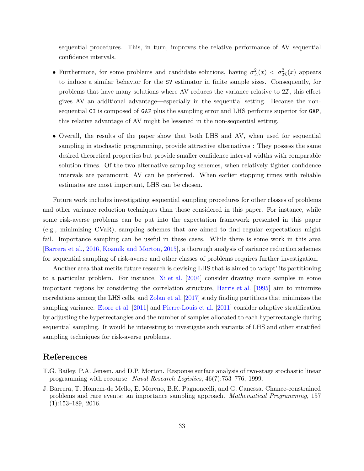sequential procedures. This, in turn, improves the relative performance of AV sequential confidence intervals.

- Furthermore, for some problems and candidate solutions, having  $\sigma_{\mathcal{A}}^2(x) < \sigma_{2\mathcal{I}}^2(x)$  appears to induce a similar behavior for the SV estimator in finite sample sizes. Consequently, for problems that have many solutions where AV reduces the variance relative to  $2\mathcal{I}$ , this effect gives AV an additional advantage—especially in the sequential setting. Because the nonsequential CI is composed of GAP plus the sampling error and LHS performs superior for GAP, this relative advantage of AV might be lessened in the non-sequential setting.
- Overall, the results of the paper show that both LHS and AV, when used for sequential sampling in stochastic programming, provide attractive alternatives : They possess the same desired theoretical properties but provide smaller confidence interval widths with comparable solution times. Of the two alternative sampling schemes, when relatively tighter confidence intervals are paramount, AV can be preferred. When earlier stopping times with reliable estimates are most important, LHS can be chosen.

Future work includes investigating sequential sampling procedures for other classes of problems and other variance reduction techniques than those considered in this paper. For instance, while some risk-averse problems can be put into the expectation framework presented in this paper (e.g., minimizing CVaR), sampling schemes that are aimed to find regular expectations might fail. Importance sampling can be useful in these cases. While there is some work in this area [\[Barrera et al.](#page-32-0), [2016,](#page-32-0) Kozmík and Morton, [2015](#page-35-3)], a thorough analysis of variance reduction schemes for sequential sampling of risk-averse and other classes of problems requires further investigation.

Another area that merits future research is devising LHS that is aimed to 'adapt' its partitioning to a particular problem. For instance, [Xi et al.](#page-37-0) [\[2004](#page-37-0)] consider drawing more samples in some important regions by considering the correlation structure, [Harris et al.](#page-34-18) [\[1995](#page-34-18)] aim to minimize correlations among the LHS cells, and [Zolan et al.](#page-37-1) [\[2017](#page-37-1)] study finding partitions that minimizes the sampling variance. [Etore et al.](#page-33-18) [\[2011](#page-33-18)] and [Pierre-Louis et al.](#page-36-8) [\[2011](#page-36-8)] consider adaptive stratification by adjusting the hyperrectangles and the number of samples allocated to each hyperrectangle during sequential sampling. It would be interesting to investigate such variants of LHS and other stratified sampling techniques for risk-averse problems.

# References

- <span id="page-32-1"></span>T.G. Bailey, P.A. Jensen, and D.P. Morton. Response surface analysis of two-stage stochastic linear programming with recourse. *Naval Research Logistics*, 46(7):753–776, 1999.
- <span id="page-32-0"></span>J. Barrera, T. Homem-de Mello, E. Moreno, B.K. Pagnoncelli, and G. Canessa. Chance-constrained problems and rare events: an importance sampling approach. *Mathematical Programming*, 157  $(1):153-189, 2016.$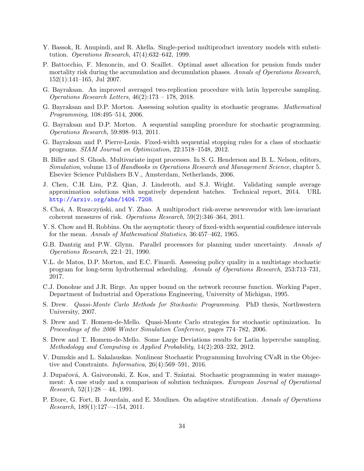- <span id="page-33-17"></span>Y. Bassok, R. Anupindi, and R. Akella. Single-period multiproduct inventory models with substitution. *Operations Research*, 47(4):632–642, 1999.
- <span id="page-33-12"></span>P. Battocchio, F. Menoncin, and O. Scaillet. Optimal asset allocation for pension funds under mortality risk during the accumulation and decumulation phases. *Annals of Operations Research*, 152(1):141–165, Jul 2007.
- <span id="page-33-6"></span>G. Bayraksan. An improved averaged two-replication procedure with latin hypercube sampling. *Operations Research Letters*, 46(2):173 – 178, 2018.
- <span id="page-33-4"></span>G. Bayraksan and D.P. Morton. Assessing solution quality in stochastic programs. *Mathematical Programming*, 108:495–514, 2006.
- <span id="page-33-7"></span>G. Bayraksan and D.P. Morton. A sequential sampling procedure for stochastic programming. *Operations Research*, 59:898–913, 2011.
- <span id="page-33-8"></span>G. Bayraksan and P. Pierre-Louis. Fixed-width sequential stopping rules for a class of stochastic programs. *SIAM Journal on Optimization*, 22:1518–1548, 2012.
- <span id="page-33-14"></span>B. Biller and S. Ghosh. Multivariate input processes. In S. G. Henderson and B. L. Nelson, editors, *Simulation*, volume 13 of *Handbooks in Operations Research and Management Science*, chapter 5. Elsevier Science Publishers B.V., Amsterdam, Netherlands, 2006.
- <span id="page-33-5"></span>J. Chen, C.H. Lim, P.Z. Qian, J. Linderoth, and S.J. Wright. Validating sample average approximation solutions with negatively dependent batches. Technical report, 2014. URL <http://arxiv.org/abs/1404.7208>.
- <span id="page-33-11"></span>S. Choi, A. Ruszczyński, and Y. Zhao. A multiproduct risk-averse newsvendor with law-invariant coherent measures of risk. *Operations Research*, 59(2):346–364, 2011.
- <span id="page-33-15"></span>Y. S. Chow and H. Robbins. On the asymptotic theory of fixed-width sequential confidence intervals for the mean. *Annals of Mathematical Statistics*, 36:457–462, 1965.
- <span id="page-33-0"></span>G.B. Dantzig and P.W. Glynn. Parallel processors for planning under uncertainty. *Annals of Operations Research*, 22:1–21, 1990.
- <span id="page-33-2"></span>V.L. de Matos, D.P. Morton, and E.C. Finardi. Assessing policy quality in a multistage stochastic program for long-term hydrothermal scheduling. *Annals of Operations Research*, 253:713–731, 2017.
- <span id="page-33-16"></span>C.J. Donohue and J.R. Birge. An upper bound on the network recourse function. Working Paper, Department of Industrial and Operations Engineering, University of Michigan, 1995.
- <span id="page-33-1"></span>S. Drew. *Quasi-Monte Carlo Methods for Stochastic Programming*. PhD thesis, Northwestern University, 2007.
- <span id="page-33-3"></span>S. Drew and T. Homem-de-Mello. Quasi-Monte Carlo strategies for stochastic optimization. In *Proceedings of the 2006 Winter Simulation Conference*, pages 774–782, 2006.
- <span id="page-33-9"></span>S. Drew and T. Homem-de-Mello. Some Large Deviations results for Latin hypercube sampling. *Methodology and Computing in Applied Probability*, 14(2):203–232, 2012.
- <span id="page-33-10"></span>V. Dumskis and L. Sakalauskas. Nonlinear Stochastic Programming Involving CVaR in the Objective and Constraints. *Informatica*, 26(4):569–591, 2016.
- <span id="page-33-13"></span>J. Dupačová, A. Gaivoronski, Z. Kos, and T. Szántai. Stochastic programming in water management: A case study and a comparison of solution techniques. *European Journal of Operational Research*, 52(1):28 – 44, 1991.
- <span id="page-33-18"></span>P. Etore, G. Fort, B. Jourdain, and E. Moulines. On adaptive stratification. *Annals of Operations Research*, 189(1):127—-154, 2011.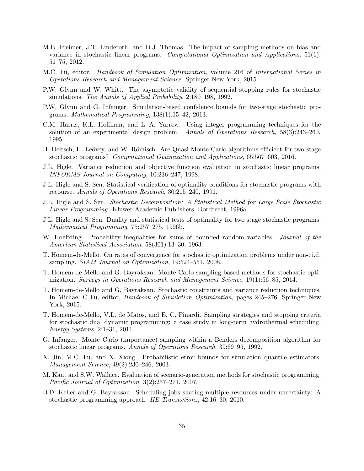- <span id="page-34-10"></span>M.B. Freimer, J.T. Linderoth, and D.J. Thomas. The impact of sampling methods on bias and variance in stochastic linear programs. *Computational Optimization and Applications*, 51(1): 51–75, 2012.
- <span id="page-34-15"></span>M.C. Fu, editor. *Handbook of Simulation Optimization*, volume 216 of *International Series in Operations Research and Management Science*. Springer New York, 2015.
- <span id="page-34-11"></span>P.W. Glynn and W. Whitt. The asymptotic validity of sequential stopping rules for stochastic simulations. *The Annals of Applied Probability*, 2:180–198, 1992.
- <span id="page-34-6"></span>P.W. Glynn and G. Infanger. Simulation-based confidence bounds for two-stage stochastic programs. *Mathematical Programming*, 138(1):15–42, 2013.
- <span id="page-34-18"></span>C.M. Harris, K.L. Hoffman, and L.-A. Yarrow. Using integer programming techniques for the solution of an experimental design problem. *Annals of Operations Research*, 58(3):243–260, 1995.
- <span id="page-34-9"></span>H. Heitsch, H. Leövey, and W. Römisch. Are Quasi-Monte Carlo algorithms efficient for two-stage stochastic programs? *Computational Optimization and Applications*, 65:567–603, 2016.
- <span id="page-34-4"></span>J.L. Higle. Variance reduction and objective function evaluation in stochastic linear programs. *INFORMS Journal on Computing*, 10:236–247, 1998.
- <span id="page-34-13"></span>J.L. Higle and S. Sen. Statistical verification of optimality conditions for stochastic programs with recourse. *Annals of Operations Research*, 30:215–240, 1991.
- <span id="page-34-14"></span>J.L. Higle and S. Sen. *Stochastic Decomposition: A Statistical Method for Large Scale Stochastic Linear Programming*. Kluwer Academic Publishers, Dordrecht, 1996a.
- <span id="page-34-0"></span>J.L. Higle and S. Sen. Duality and statistical tests of optimality for two stage stochastic programs. *Mathematical Programming*, 75:257–275, 1996b.
- <span id="page-34-17"></span>W. Hoeffding. Probability inequalities for sums of bounded random variables. *Journal of the American Statistical Association*, 58(301):13–30, 1963.
- <span id="page-34-7"></span>T. Homem-de-Mello. On rates of convergence for stochastic optimization problems under non-i.i.d. sampling. *SIAM Journal on Optimization*, 19:524–551, 2008.
- <span id="page-34-2"></span>T. Homem-de-Mello and G. Bayraksan. Monte Carlo sampling-based methods for stochastic optimization. *Surveys in Operations Research and Management Science*, 19(1):56–85, 2014.
- <span id="page-34-3"></span>T. Homem-de-Mello and G. Bayraksan. Stochastic constraints and variance reduction techniques. In Michael C Fu, editor, *Handbook of Simulation Optimization*, pages 245–276. Springer New York, 2015.
- <span id="page-34-8"></span>T. Homem-de-Mello, V.L. de Matos, and E. C. Finardi. Sampling strategies and stopping criteria for stochastic dual dynamic programming: a case study in long-term hydrothermal scheduling. *Energy Systems*, 2:1–31, 2011.
- <span id="page-34-5"></span>G. Infanger. Monte Carlo (importance) sampling within a Benders decomposition algorithm for stochastic linear programs. *Annals of Operations Research*, 39:69–95, 1992.
- <span id="page-34-16"></span>X. Jin, M.C. Fu, and X. Xiong. Probabilistic error bounds for simulation quantile estimators. *Management Science*, 49(2):230–246, 2003.
- <span id="page-34-1"></span>M. Kaut and S.W. Wallace. Evaluation of scenario-generation methods for stochastic programming. *Pacific Journal of Optimization*, 3(2):257–271, 2007.
- <span id="page-34-12"></span>B.D. Keller and G. Bayraksan. Scheduling jobs sharing multiple resources under uncertainty: A stochastic programming approach. *IIE Transactions*, 42:16–30, 2010.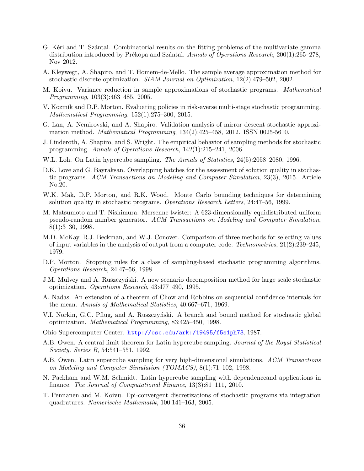- <span id="page-35-12"></span>G. Ket i and T. Szántai. Combinatorial results on the fitting problems of the multivariate gamma distribution introduced by Prékopa and Szántai. *Annals of Operations Research*, 200(1):265–278, Nov 2012.
- <span id="page-35-0"></span>A. Kleywegt, A. Shapiro, and T. Homem-de-Mello. The sample average approximation method for stochastic discrete optimization. *SIAM Journal on Optimization*, 12(2):479–502, 2002.
- <span id="page-35-5"></span>M. Koivu. Variance reduction in sample approximations of stochastic programs. *Mathematical Programming*, 103(3):463–485, 2005.
- <span id="page-35-3"></span>V. Kozmík and D.P. Morton. Evaluating policies in risk-averse multi-stage stochastic programming. *Mathematical Programming*, 152(1):275–300, 2015.
- <span id="page-35-10"></span>G. Lan, A. Nemirovski, and A. Shapiro. Validation analysis of mirror descent stochastic approximation method. *Mathematical Programming*, 134(2):425–458, 2012. ISSN 0025-5610.
- <span id="page-35-6"></span>J. Linderoth, A. Shapiro, and S. Wright. The empirical behavior of sampling methods for stochastic programming. *Annals of Operations Research*, 142(1):215–241, 2006.
- <span id="page-35-14"></span>W.L. Loh. On Latin hypercube sampling. *The Annals of Statistics*, 24(5):2058–2080, 1996.
- <span id="page-35-7"></span>D.K. Love and G. Bayraksan. Overlapping batches for the assessment of solution quality in stochastic programs. *ACM Transactions on Modeling and Computer Simulation*, 23(3), 2015. Article No.20.
- <span id="page-35-2"></span>W.K. Mak, D.P. Morton, and R.K. Wood. Monte Carlo bounding techniques for determining solution quality in stochastic programs. *Operations Research Letters*, 24:47–56, 1999.
- <span id="page-35-19"></span>M. Matsumoto and T. Nishimura. Mersenne twister: A 623-dimensionally equidistributed uniform pseudo-random number generator. *ACM Transactions on Modeling and Computer Simulation*, 8(1):3–30, 1998.
- <span id="page-35-15"></span>M.D. McKay, R.J. Beckman, and W.J. Conover. Comparison of three methods for selecting values of input variables in the analysis of output from a computer code. *Technometrics*, 21(2):239–245, 1979.
- <span id="page-35-8"></span>D.P. Morton. Stopping rules for a class of sampling-based stochastic programming algorithms. *Operations Research*, 24:47–56, 1998.
- <span id="page-35-1"></span>J.M. Mulvey and A. Ruszczyński. A new scenario decomposition method for large scale stochastic optimization. *Operations Research*, 43:477–490, 1995.
- <span id="page-35-17"></span>A. Nadas. An extension of a theorem of Chow and Robbins on sequential confidence intervals for the mean. *Annals of Mathematical Statistics*, 40:667–671, 1969.
- <span id="page-35-9"></span>V.I. Norkin, G.C. Pflug, and A. Ruszczynski. A branch and bound method for stochastic global optimization. *Mathematical Programming*, 83:425–450, 1998.
- <span id="page-35-18"></span>Ohio Supercomputer Center. <http://osc.edu/ark:/19495/f5s1ph73>, 1987.
- <span id="page-35-11"></span>A.B. Owen. A central limit theorem for Latin hypercube sampling. *Journal of the Royal Statistical Society, Series B*, 54:541–551, 1992.
- <span id="page-35-16"></span>A.B. Owen. Latin supercube sampling for very high-dimensional simulations. *ACM Transactions on Modeling and Computer Simulation (TOMACS)*, 8(1):71–102, 1998.
- <span id="page-35-13"></span>N. Packham and W.M. Schmidt. Latin hypercube sampling with dependenceand applications in finance. *The Journal of Computational Finance*, 13(3):81–111, 2010.
- <span id="page-35-4"></span>T. Pennanen and M. Koivu. Epi-convergent discretizations of stochastic programs via integration quadratures. *Numerische Mathematik*, 100:141–163, 2005.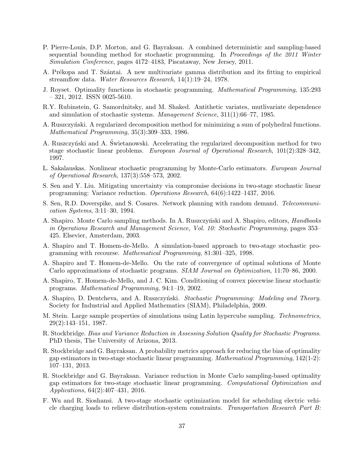- <span id="page-36-8"></span>P. Pierre-Louis, D.P. Morton, and G. Bayraksan. A combined deterministic and sampling-based sequential bounding method for stochastic programming. In *Proceedings of the 2011 Winter Simulation Conference*, pages 4172–4183, Piscataway, New Jersey, 2011.
- <span id="page-36-11"></span>A. Prékopa and T. Szántai. A new multivariate gamma distribution and its fitting to empirical streamflow data. *Water Resources Research*, 14(1):19–24, 1978.
- <span id="page-36-4"></span>J. Royset. Optimality functions in stochastic programming. *Mathematical Programming*, 135:293  $-321, 2012.$  ISSN 0025-5610.
- <span id="page-36-13"></span>R.Y. Rubinstein, G. Samordnitsky, and M. Shaked. Antithetic variates, mutlivariate dependence and simulation of stochastic systems. *Management Science*, 311(1):66–77, 1985.
- <span id="page-36-17"></span>A. Ruszczyński. A regularized decomposition method for minimizing a sum of polyhedral functions. *Mathematical Programming*, 35(3):309–333, 1986.
- <span id="page-36-18"></span>A. Ruszczyński and A. Świetanowski. Accelerating the regularized decomposition method for two stage stochastic linear problems. *European Journal of Operational Research*, 101(2):328–342, 1997.
- <span id="page-36-5"></span>L. Sakalauskas. Nonlinear stochastic programming by Monte-Carlo estimators. *European Journal of Operational Research*, 137(3):558–573, 2002.
- <span id="page-36-10"></span>S. Sen and Y. Liu. Mitigating uncertainty via compromise decisions in two-stage stochastic linear programming: Variance reduction. *Operations Research*, 64(6):1422–1437, 2016.
- <span id="page-36-12"></span>S. Sen, R.D. Doverspike, and S. Cosares. Network planning with random demand. *Telecommunication Systems*, 3:11–30, 1994.
- <span id="page-36-16"></span>A. Shapiro. Monte Carlo sampling methods. In A. Ruszczyński and A. Shapiro, editors, *Handbooks in Operations Research and Management Science, Vol. 10: Stochastic Programming*, pages 353– 425. Elsevier, Amsterdam, 2003.
- <span id="page-36-3"></span>A. Shapiro and T. Homem-de-Mello. A simulation-based approach to two-stage stochastic programming with recourse. *Mathematical Programming*, 81:301–325, 1998.
- <span id="page-36-1"></span>A. Shapiro and T. Homem-de-Mello. On the rate of convergence of optimal solutions of Monte Carlo approximations of stochastic programs. *SIAM Journal on Optimization*, 11:70–86, 2000.
- <span id="page-36-2"></span>A. Shapiro, T. Homem-de-Mello, and J. C. Kim. Conditioning of convex piecewise linear stochastic programs. *Mathematical Programming*, 94:1–19, 2002.
- <span id="page-36-0"></span>A. Shapiro, D. Dentcheva, and A. Ruszczyński. *Stochastic Programming: Modeling and Theory*. Society for Industrial and Applied Mathematics (SIAM), Philadelphia, 2009.
- <span id="page-36-14"></span>M. Stein. Large sample properties of simulations using Latin hypercube sampling. *Technometrics*, 29(2):143–151, 1987.
- <span id="page-36-15"></span>R. Stockbridge. *Bias and Variance Reduction in Assessing Solution Quality for Stochastic Programs*. PhD thesis, The University of Arizona, 2013.
- <span id="page-36-7"></span>R. Stockbridge and G. Bayraksan. A probability metrics approach for reducing the bias of optimality gap estimators in two-stage stochastic linear programming. *Mathematical Programming*, 142(1-2): 107–131, 2013.
- <span id="page-36-6"></span>R. Stockbridge and G. Bayraksan. Variance reduction in Monte Carlo sampling-based optimality gap estimators for two-stage stochastic linear programming. *Computational Optimization and Applications*, 64(2):407–431, 2016.
- <span id="page-36-9"></span>F. Wu and R. Sioshansi. A two-stage stochastic optimization model for scheduling electric vehicle charging loads to relieve distribution-system constraints. *Transportation Research Part B:*